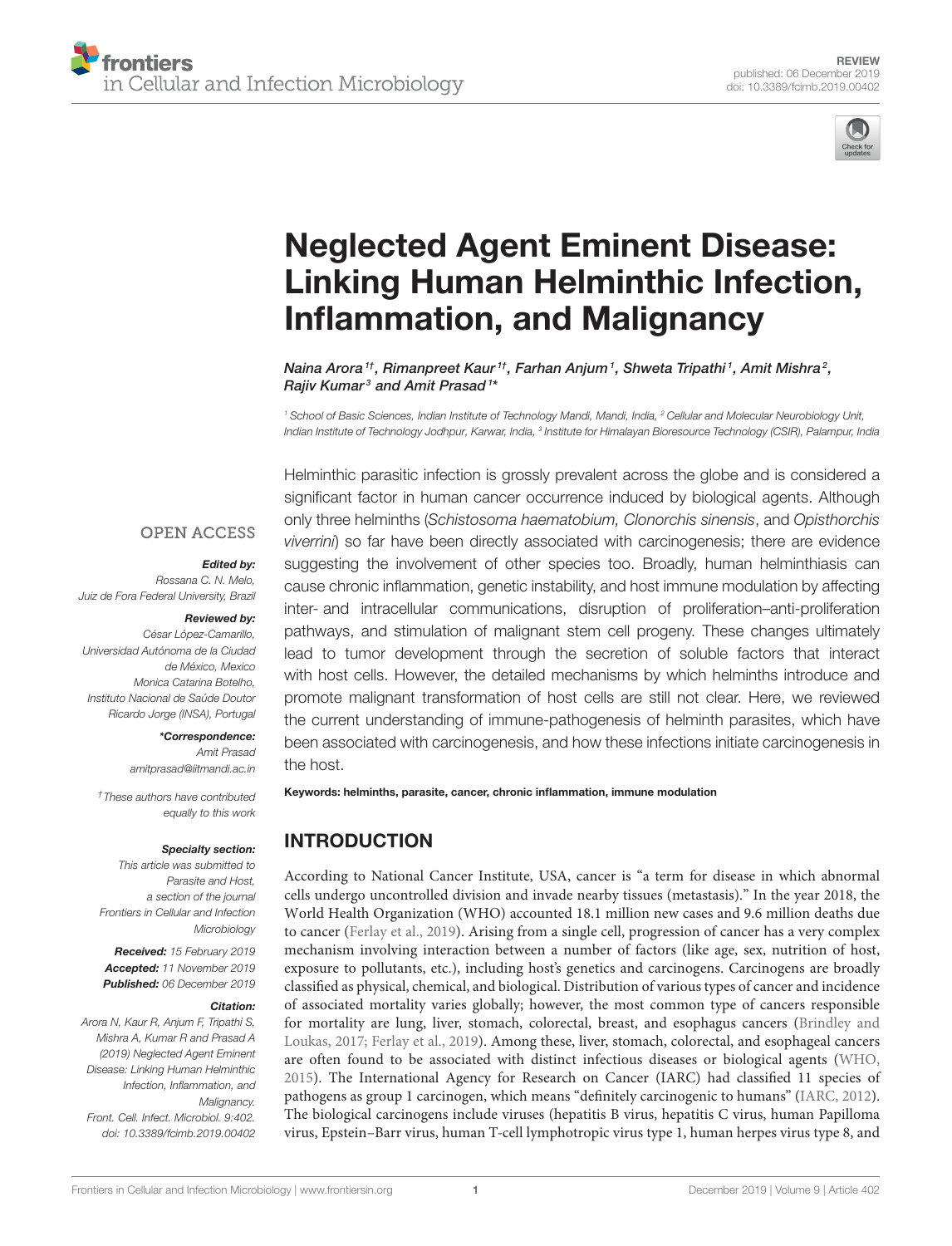

# Neglected Agent Eminent Disease: Linking Human Helminthic Infection, Inflammation, and Malignancy

Naina Arora  $^{1\dagger}$ , Rimanpreet Kaur  $^{1\dagger}$ , Farhan Anjum  $^{\text{1}}$ , Shweta Tripathi  $^{\text{1}}$ , Amit Mishra $^{\text{2}}$ , Rajiv Kumar<sup>3</sup> and Amit Prasad1\*

<sup>1</sup> School of Basic Sciences, Indian Institute of Technology Mandi, Mandi, India, <sup>2</sup> Cellular and Molecular Neurobiology Unit, Indian Institute of Technology Jodhpur, Karwar, India, <sup>3</sup> Institute for Himalayan Bioresource Technology (CSIR), Palampur, India

#### **OPEN ACCESS**

#### *Edited by:*

Rossana C. N. Melo, Juiz de Fora Federal University, Brazil

#### *Reviewed by:*

César López-Camarillo, Universidad Autónoma de la Ciudad de México, Mexico Monica Catarina Botelho, Instituto Nacional de Saúde Doutor Ricardo Jorge (INSA), Portugal

> *\*Correspondence:* Amit Prasad amitprasad@iitmandi.ac.in

†These authors have contributed equally to this work

#### *Specialty section:*

This article was submitted to Parasite and Host, a section of the journal Frontiers in Cellular and Infection **Microbiology** 

*Received:* 15 February 2019 *Accepted:* 11 November 2019 *Published:* 06 December 2019

#### *Citation:*

Arora N, Kaur R, Anjum F, Tripathi S, Mishra A, Kumar R and Prasad A (2019) Neglected Agent Eminent Disease: Linking Human Helminthic Infection, Inflammation, and Malignancy. Front. Cell. Infect. Microbiol. 9:402. doi: 10.3389/fcimb.2019.00402 Helminthic parasitic infection is grossly prevalent across the globe and is considered a significant factor in human cancer occurrence induced by biological agents. Although only three helminths (Schistosoma haematobium, Clonorchis sinensis, and Opisthorchis viverrini) so far have been directly associated with carcinogenesis; there are evidence suggesting the involvement of other species too. Broadly, human helminthiasis can cause chronic inflammation, genetic instability, and host immune modulation by affecting inter- and intracellular communications, disruption of proliferation–anti-proliferation pathways, and stimulation of malignant stem cell progeny. These changes ultimately lead to tumor development through the secretion of soluble factors that interact with host cells. However, the detailed mechanisms by which helminths introduce and promote malignant transformation of host cells are still not clear. Here, we reviewed the current understanding of immune-pathogenesis of helminth parasites, which have been associated with carcinogenesis, and how these infections initiate carcinogenesis in the host.

Keywords: helminths, parasite, cancer, chronic inflammation, immune modulation

# INTRODUCTION

According to National Cancer Institute, USA, cancer is "a term for disease in which abnormal cells undergo uncontrolled division and invade nearby tissues (metastasis)." In the year 2018, the World Health Organization (WHO) accounted 18.1 million new cases and 9.6 million deaths due to cancer (Ferlay et al., 2019). Arising from a single cell, progression of cancer has a very complex mechanism involving interaction between a number of factors (like age, sex, nutrition of host, exposure to pollutants, etc.), including host's genetics and carcinogens. Carcinogens are broadly classified as physical, chemical, and biological. Distribution of various types of cancer and incidence of associated mortality varies globally; however, the most common type of cancers responsible for mortality are lung, liver, stomach, colorectal, breast, and esophagus cancers (Brindley and Loukas, 2017; Ferlay et al., 2019). Among these, liver, stomach, colorectal, and esophageal cancers are often found to be associated with distinct infectious diseases or biological agents (WHO, 2015). The International Agency for Research on Cancer (IARC) had classified 11 species of pathogens as group 1 carcinogen, which means "definitely carcinogenic to humans" (IARC, 2012). The biological carcinogens include viruses (hepatitis B virus, hepatitis C virus, human Papilloma virus, Epstein–Barr virus, human T-cell lymphotropic virus type 1, human herpes virus type 8, and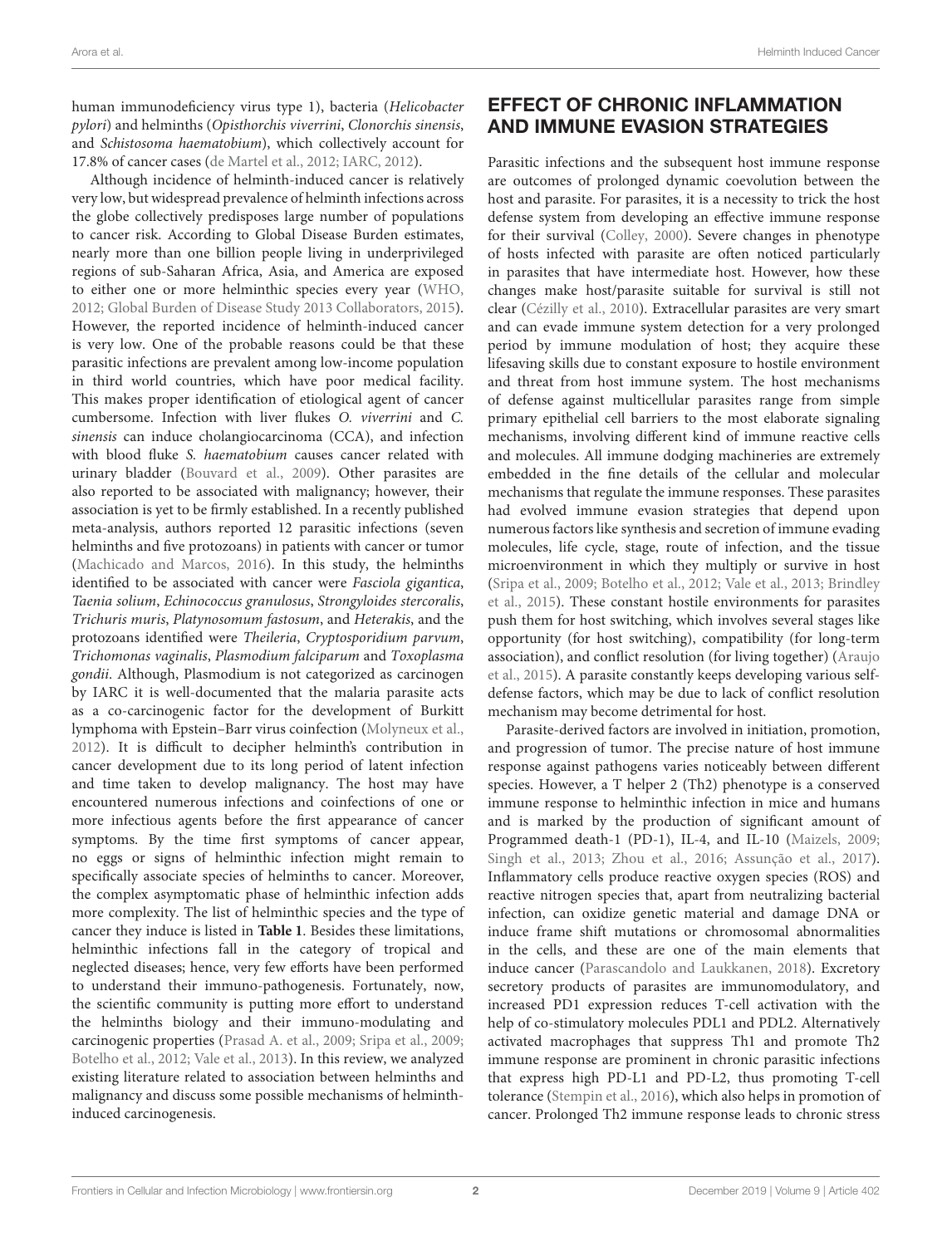human immunodeficiency virus type 1), bacteria (Helicobacter pylori) and helminths (Opisthorchis viverrini, Clonorchis sinensis, and Schistosoma haematobium), which collectively account for 17.8% of cancer cases (de Martel et al., 2012; IARC, 2012).

Although incidence of helminth-induced cancer is relatively very low, but widespread prevalence of helminth infections across the globe collectively predisposes large number of populations to cancer risk. According to Global Disease Burden estimates, nearly more than one billion people living in underprivileged regions of sub-Saharan Africa, Asia, and America are exposed to either one or more helminthic species every year (WHO, 2012; Global Burden of Disease Study 2013 Collaborators, 2015). However, the reported incidence of helminth-induced cancer is very low. One of the probable reasons could be that these parasitic infections are prevalent among low-income population in third world countries, which have poor medical facility. This makes proper identification of etiological agent of cancer cumbersome. Infection with liver flukes O. viverrini and C. sinensis can induce cholangiocarcinoma (CCA), and infection with blood fluke S. haematobium causes cancer related with urinary bladder (Bouvard et al., 2009). Other parasites are also reported to be associated with malignancy; however, their association is yet to be firmly established. In a recently published meta-analysis, authors reported 12 parasitic infections (seven helminths and five protozoans) in patients with cancer or tumor (Machicado and Marcos, 2016). In this study, the helminths identified to be associated with cancer were Fasciola gigantica, Taenia solium, Echinococcus granulosus, Strongyloides stercoralis, Trichuris muris, Platynosomum fastosum, and Heterakis, and the protozoans identified were Theileria, Cryptosporidium parvum, Trichomonas vaginalis, Plasmodium falciparum and Toxoplasma gondii. Although, Plasmodium is not categorized as carcinogen by IARC it is well-documented that the malaria parasite acts as a co-carcinogenic factor for the development of Burkitt lymphoma with Epstein–Barr virus coinfection (Molyneux et al., 2012). It is difficult to decipher helminth's contribution in cancer development due to its long period of latent infection and time taken to develop malignancy. The host may have encountered numerous infections and coinfections of one or more infectious agents before the first appearance of cancer symptoms. By the time first symptoms of cancer appear, no eggs or signs of helminthic infection might remain to specifically associate species of helminths to cancer. Moreover, the complex asymptomatic phase of helminthic infection adds more complexity. The list of helminthic species and the type of cancer they induce is listed in **Table 1**. Besides these limitations, helminthic infections fall in the category of tropical and neglected diseases; hence, very few efforts have been performed to understand their immuno-pathogenesis. Fortunately, now, the scientific community is putting more effort to understand the helminths biology and their immuno-modulating and carcinogenic properties (Prasad A. et al., 2009; Sripa et al., 2009; Botelho et al., 2012; Vale et al., 2013). In this review, we analyzed existing literature related to association between helminths and malignancy and discuss some possible mechanisms of helminthinduced carcinogenesis.

# EFFECT OF CHRONIC INFLAMMATION AND IMMUNE EVASION STRATEGIES

Parasitic infections and the subsequent host immune response are outcomes of prolonged dynamic coevolution between the host and parasite. For parasites, it is a necessity to trick the host defense system from developing an effective immune response for their survival (Colley, 2000). Severe changes in phenotype of hosts infected with parasite are often noticed particularly in parasites that have intermediate host. However, how these changes make host/parasite suitable for survival is still not clear (Cézilly et al., 2010). Extracellular parasites are very smart and can evade immune system detection for a very prolonged period by immune modulation of host; they acquire these lifesaving skills due to constant exposure to hostile environment and threat from host immune system. The host mechanisms of defense against multicellular parasites range from simple primary epithelial cell barriers to the most elaborate signaling mechanisms, involving different kind of immune reactive cells and molecules. All immune dodging machineries are extremely embedded in the fine details of the cellular and molecular mechanisms that regulate the immune responses. These parasites had evolved immune evasion strategies that depend upon numerous factors like synthesis and secretion of immune evading molecules, life cycle, stage, route of infection, and the tissue microenvironment in which they multiply or survive in host (Sripa et al., 2009; Botelho et al., 2012; Vale et al., 2013; Brindley et al., 2015). These constant hostile environments for parasites push them for host switching, which involves several stages like opportunity (for host switching), compatibility (for long-term association), and conflict resolution (for living together) (Araujo et al., 2015). A parasite constantly keeps developing various selfdefense factors, which may be due to lack of conflict resolution mechanism may become detrimental for host.

Parasite-derived factors are involved in initiation, promotion, and progression of tumor. The precise nature of host immune response against pathogens varies noticeably between different species. However, a T helper 2 (Th2) phenotype is a conserved immune response to helminthic infection in mice and humans and is marked by the production of significant amount of Programmed death-1 (PD-1), IL-4, and IL-10 (Maizels, 2009; Singh et al., 2013; Zhou et al., 2016; Assunção et al., 2017). Inflammatory cells produce reactive oxygen species (ROS) and reactive nitrogen species that, apart from neutralizing bacterial infection, can oxidize genetic material and damage DNA or induce frame shift mutations or chromosomal abnormalities in the cells, and these are one of the main elements that induce cancer (Parascandolo and Laukkanen, 2018). Excretory secretory products of parasites are immunomodulatory, and increased PD1 expression reduces T-cell activation with the help of co-stimulatory molecules PDL1 and PDL2. Alternatively activated macrophages that suppress Th1 and promote Th2 immune response are prominent in chronic parasitic infections that express high PD-L1 and PD-L2, thus promoting T-cell tolerance (Stempin et al., 2016), which also helps in promotion of cancer. Prolonged Th2 immune response leads to chronic stress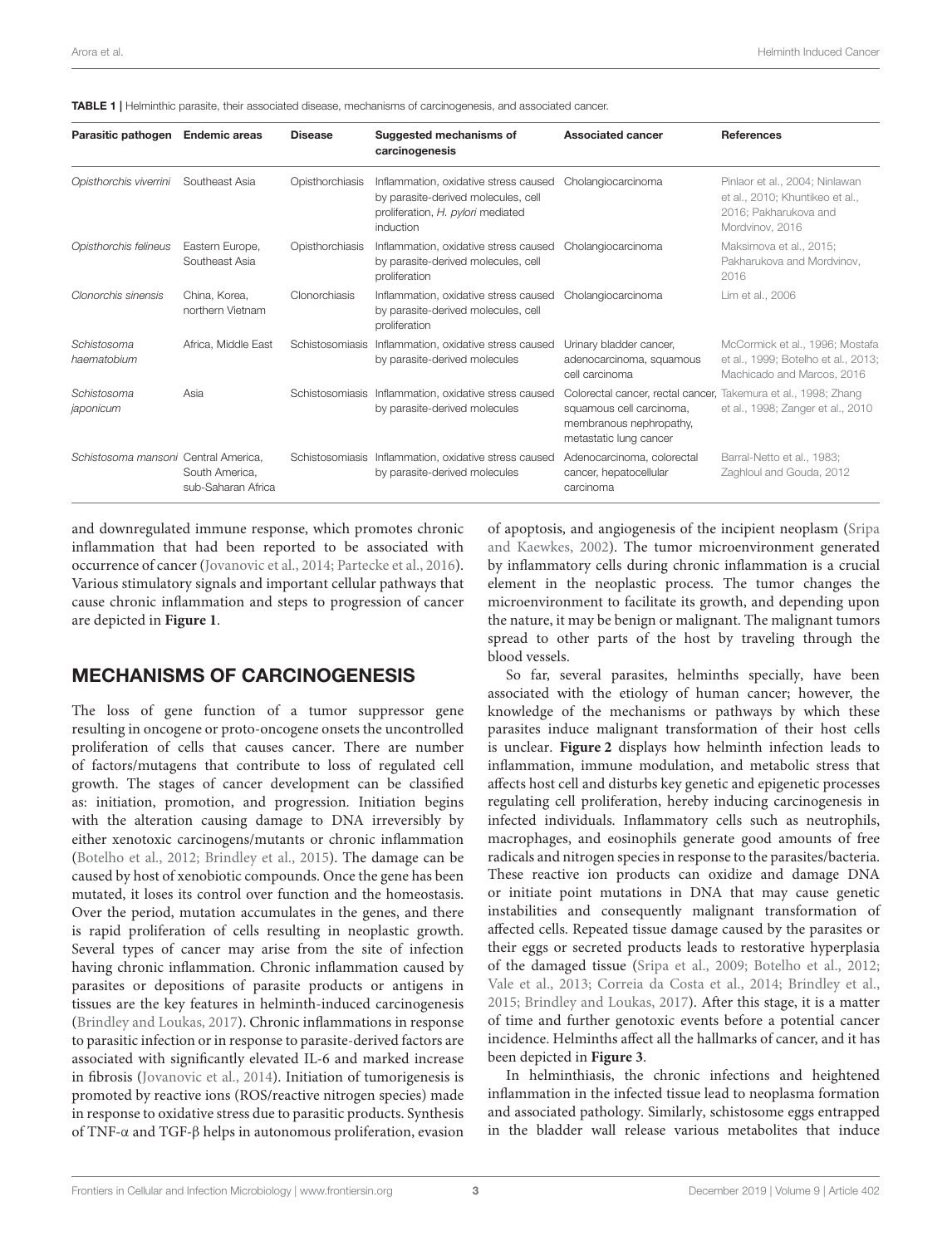| Parasitic pathogen                   | <b>Endemic areas</b>                 | <b>Disease</b>  | Suggested mechanisms of<br>carcinogenesis                                                                                      | <b>Associated cancer</b>                                                                                                                        | <b>References</b>                                                                                             |
|--------------------------------------|--------------------------------------|-----------------|--------------------------------------------------------------------------------------------------------------------------------|-------------------------------------------------------------------------------------------------------------------------------------------------|---------------------------------------------------------------------------------------------------------------|
| Opisthorchis viverrini               | Southeast Asia                       | Opisthorchiasis | Inflammation, oxidative stress caused<br>by parasite-derived molecules, cell<br>proliferation, H. pylori mediated<br>induction | Cholangiocarcinoma                                                                                                                              | Pinlaor et al., 2004; Ninlawan<br>et al., 2010; Khuntikeo et al.,<br>2016; Pakharukova and<br>Mordvinov, 2016 |
| Opisthorchis felineus                | Eastern Europe,<br>Southeast Asia    | Opisthorchiasis | Inflammation, oxidative stress caused<br>by parasite-derived molecules, cell<br>proliferation                                  | Cholangiocarcinoma                                                                                                                              | Maksimova et al., 2015:<br>Pakharukova and Mordvinov,<br>2016                                                 |
| Clonorchis sinensis                  | China, Korea,<br>northern Vietnam    | Clonorchiasis   | Inflammation, oxidative stress caused<br>by parasite-derived molecules, cell<br>proliferation                                  | Cholangiocarcinoma                                                                                                                              | Lim et al., 2006                                                                                              |
| Schistosoma<br>haematobium           | Africa, Middle East                  |                 | Schistosomiasis Inflammation, oxidative stress caused<br>by parasite-derived molecules                                         | Urinary bladder cancer,<br>adenocarcinoma, squamous<br>cell carcinoma                                                                           | McCormick et al., 1996: Mostafa<br>et al., 1999; Botelho et al., 2013;<br>Machicado and Marcos, 2016          |
| Schistosoma<br>japonicum             | Asia                                 |                 | Schistosomiasis Inflammation, oxidative stress caused<br>by parasite-derived molecules                                         | Colorectal cancer, rectal cancer, Takemura et al., 1998; Zhang<br>squamous cell carcinoma,<br>membranous nephropathy,<br>metastatic lung cancer | et al., 1998; Zanger et al., 2010                                                                             |
| Schistosoma mansoni Central America. | South America.<br>sub-Saharan Africa |                 | Schistosomiasis Inflammation, oxidative stress caused<br>by parasite-derived molecules                                         | Adenocarcinoma, colorectal<br>cancer, hepatocellular<br>carcinoma                                                                               | Barral-Netto et al., 1983;<br>Zaghloul and Gouda, 2012                                                        |

and downregulated immune response, which promotes chronic inflammation that had been reported to be associated with occurrence of cancer (Jovanovic et al., 2014; Partecke et al., 2016). Various stimulatory signals and important cellular pathways that cause chronic inflammation and steps to progression of cancer are depicted in **Figure 1**.

#### MECHANISMS OF CARCINOGENESIS

The loss of gene function of a tumor suppressor gene resulting in oncogene or proto-oncogene onsets the uncontrolled proliferation of cells that causes cancer. There are number of factors/mutagens that contribute to loss of regulated cell growth. The stages of cancer development can be classified as: initiation, promotion, and progression. Initiation begins with the alteration causing damage to DNA irreversibly by either xenotoxic carcinogens/mutants or chronic inflammation (Botelho et al., 2012; Brindley et al., 2015). The damage can be caused by host of xenobiotic compounds. Once the gene has been mutated, it loses its control over function and the homeostasis. Over the period, mutation accumulates in the genes, and there is rapid proliferation of cells resulting in neoplastic growth. Several types of cancer may arise from the site of infection having chronic inflammation. Chronic inflammation caused by parasites or depositions of parasite products or antigens in tissues are the key features in helminth-induced carcinogenesis (Brindley and Loukas, 2017). Chronic inflammations in response to parasitic infection or in response to parasite-derived factors are associated with significantly elevated IL-6 and marked increase in fibrosis (Jovanovic et al., 2014). Initiation of tumorigenesis is promoted by reactive ions (ROS/reactive nitrogen species) made in response to oxidative stress due to parasitic products. Synthesis of TNF-α and TGF-β helps in autonomous proliferation, evasion

of apoptosis, and angiogenesis of the incipient neoplasm (Sripa and Kaewkes, 2002). The tumor microenvironment generated by inflammatory cells during chronic inflammation is a crucial element in the neoplastic process. The tumor changes the microenvironment to facilitate its growth, and depending upon the nature, it may be benign or malignant. The malignant tumors spread to other parts of the host by traveling through the blood vessels.

So far, several parasites, helminths specially, have been associated with the etiology of human cancer; however, the knowledge of the mechanisms or pathways by which these parasites induce malignant transformation of their host cells is unclear. **Figure 2** displays how helminth infection leads to inflammation, immune modulation, and metabolic stress that affects host cell and disturbs key genetic and epigenetic processes regulating cell proliferation, hereby inducing carcinogenesis in infected individuals. Inflammatory cells such as neutrophils, macrophages, and eosinophils generate good amounts of free radicals and nitrogen species in response to the parasites/bacteria. These reactive ion products can oxidize and damage DNA or initiate point mutations in DNA that may cause genetic instabilities and consequently malignant transformation of affected cells. Repeated tissue damage caused by the parasites or their eggs or secreted products leads to restorative hyperplasia of the damaged tissue (Sripa et al., 2009; Botelho et al., 2012; Vale et al., 2013; Correia da Costa et al., 2014; Brindley et al., 2015; Brindley and Loukas, 2017). After this stage, it is a matter of time and further genotoxic events before a potential cancer incidence. Helminths affect all the hallmarks of cancer, and it has been depicted in **Figure 3**.

In helminthiasis, the chronic infections and heightened inflammation in the infected tissue lead to neoplasma formation and associated pathology. Similarly, schistosome eggs entrapped in the bladder wall release various metabolites that induce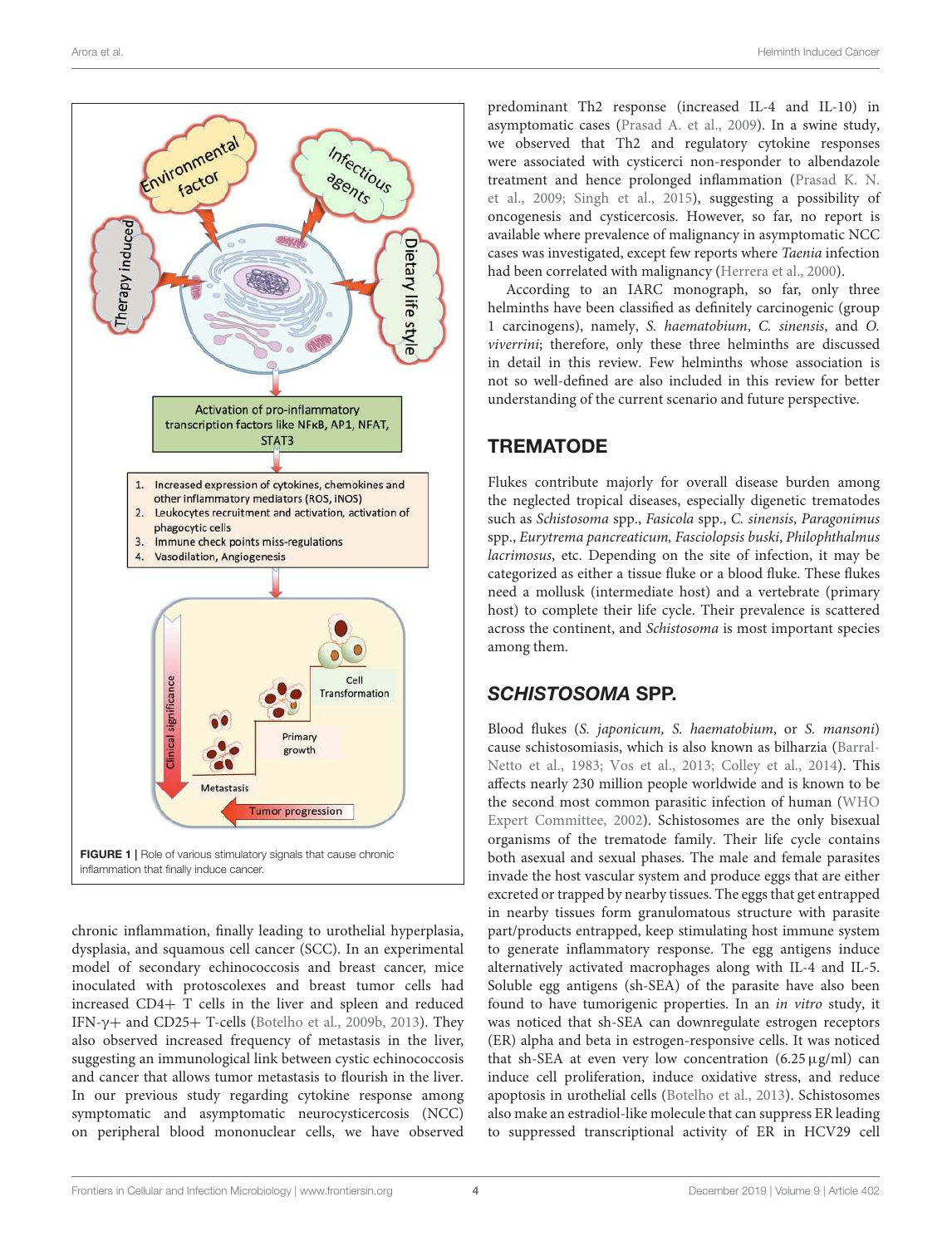

chronic inflammation, finally leading to urothelial hyperplasia, dysplasia, and squamous cell cancer (SCC). In an experimental model of secondary echinococcosis and breast cancer, mice inoculated with protoscolexes and breast tumor cells had increased CD4+ T cells in the liver and spleen and reduced IFN- $\gamma$ + and CD25+ T-cells (Botelho et al., 2009b, 2013). They also observed increased frequency of metastasis in the liver, suggesting an immunological link between cystic echinococcosis and cancer that allows tumor metastasis to flourish in the liver. In our previous study regarding cytokine response among symptomatic and asymptomatic neurocysticercosis (NCC) on peripheral blood mononuclear cells, we have observed

predominant Th2 response (increased IL-4 and IL-10) in asymptomatic cases (Prasad A. et al., 2009). In a swine study, we observed that Th2 and regulatory cytokine responses were associated with cysticerci non-responder to albendazole treatment and hence prolonged inflammation (Prasad K. N. et al., 2009; Singh et al., 2015), suggesting a possibility of oncogenesis and cysticercosis. However, so far, no report is available where prevalence of malignancy in asymptomatic NCC cases was investigated, except few reports where Taenia infection had been correlated with malignancy (Herrera et al., 2000).

According to an IARC monograph, so far, only three helminths have been classified as definitely carcinogenic (group 1 carcinogens), namely, S. haematobium, C. sinensis, and O. viverrini; therefore, only these three helminths are discussed in detail in this review. Few helminths whose association is not so well-defined are also included in this review for better understanding of the current scenario and future perspective.

#### **TREMATODE**

Flukes contribute majorly for overall disease burden among the neglected tropical diseases, especially digenetic trematodes such as Schistosoma spp., Fasicola spp., C. sinensis, Paragonimus spp., Eurytrema pancreaticum, Fasciolopsis buski, Philophthalmus lacrimosus, etc. Depending on the site of infection, it may be categorized as either a tissue fluke or a blood fluke. These flukes need a mollusk (intermediate host) and a vertebrate (primary host) to complete their life cycle. Their prevalence is scattered across the continent, and Schistosoma is most important species among them.

# *SCHISTOSOMA* SPP.

Blood flukes (S. japonicum, S. haematobium, or S. mansoni) cause schistosomiasis, which is also known as bilharzia (Barral-Netto et al., 1983; Vos et al., 2013; Colley et al., 2014). This affects nearly 230 million people worldwide and is known to be the second most common parasitic infection of human (WHO Expert Committee, 2002). Schistosomes are the only bisexual organisms of the trematode family. Their life cycle contains both asexual and sexual phases. The male and female parasites invade the host vascular system and produce eggs that are either excreted or trapped by nearby tissues. The eggs that get entrapped in nearby tissues form granulomatous structure with parasite part/products entrapped, keep stimulating host immune system to generate inflammatory response. The egg antigens induce alternatively activated macrophages along with IL-4 and IL-5. Soluble egg antigens (sh-SEA) of the parasite have also been found to have tumorigenic properties. In an in vitro study, it was noticed that sh-SEA can downregulate estrogen receptors (ER) alpha and beta in estrogen-responsive cells. It was noticed that sh-SEA at even very low concentration  $(6.25 \,\mu\text{g/ml})$  can induce cell proliferation, induce oxidative stress, and reduce apoptosis in urothelial cells (Botelho et al., 2013). Schistosomes also make an estradiol-like molecule that can suppress ER leading to suppressed transcriptional activity of ER in HCV29 cell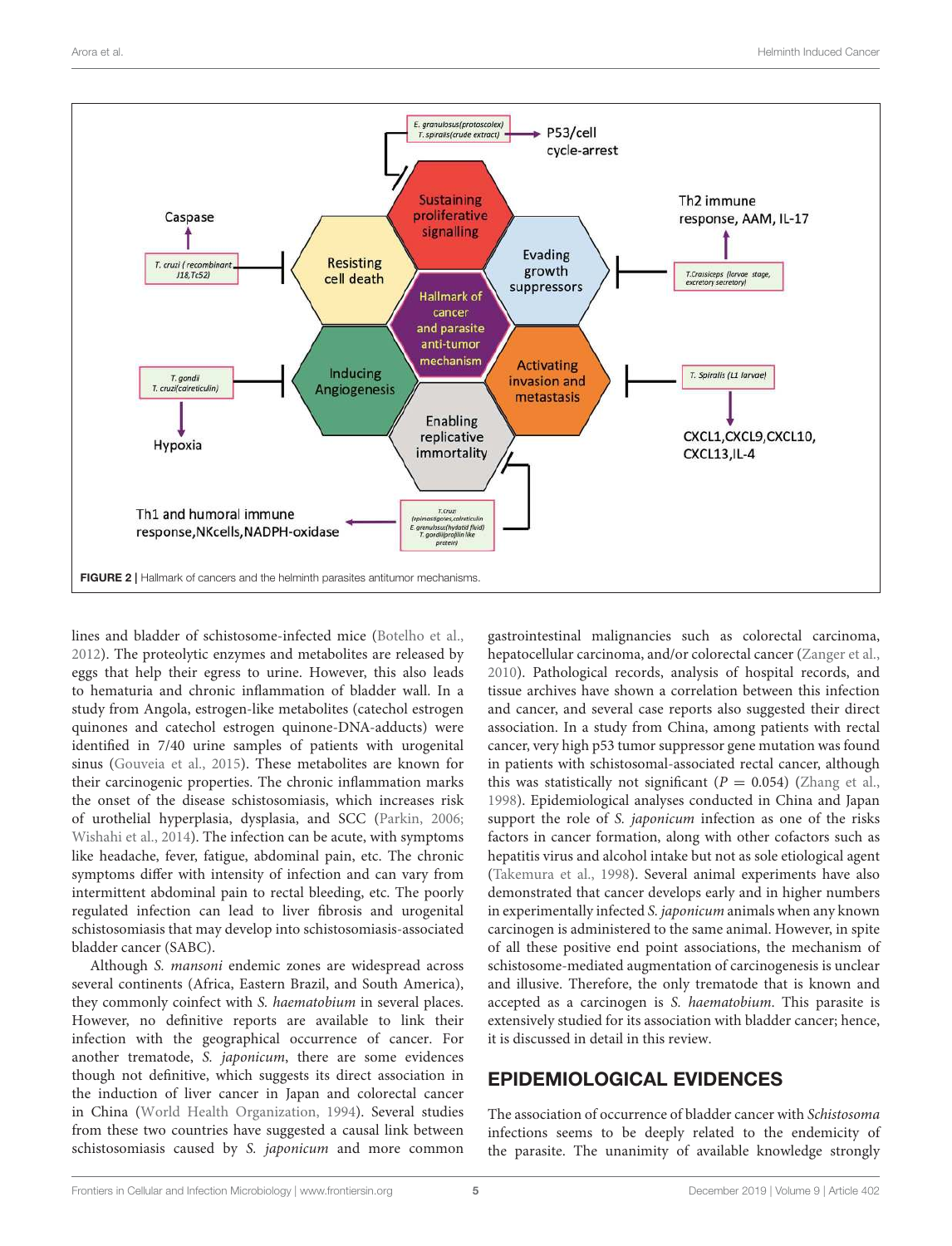

lines and bladder of schistosome-infected mice (Botelho et al., 2012). The proteolytic enzymes and metabolites are released by eggs that help their egress to urine. However, this also leads to hematuria and chronic inflammation of bladder wall. In a study from Angola, estrogen-like metabolites (catechol estrogen quinones and catechol estrogen quinone-DNA-adducts) were identified in 7/40 urine samples of patients with urogenital sinus (Gouveia et al., 2015). These metabolites are known for their carcinogenic properties. The chronic inflammation marks the onset of the disease schistosomiasis, which increases risk of urothelial hyperplasia, dysplasia, and SCC (Parkin, 2006; Wishahi et al., 2014). The infection can be acute, with symptoms like headache, fever, fatigue, abdominal pain, etc. The chronic symptoms differ with intensity of infection and can vary from intermittent abdominal pain to rectal bleeding, etc. The poorly regulated infection can lead to liver fibrosis and urogenital schistosomiasis that may develop into schistosomiasis-associated bladder cancer (SABC).

Although S. mansoni endemic zones are widespread across several continents (Africa, Eastern Brazil, and South America), they commonly coinfect with S. haematobium in several places. However, no definitive reports are available to link their infection with the geographical occurrence of cancer. For another trematode, S. japonicum, there are some evidences though not definitive, which suggests its direct association in the induction of liver cancer in Japan and colorectal cancer in China (World Health Organization, 1994). Several studies from these two countries have suggested a causal link between schistosomiasis caused by S. *japonicum* and more common gastrointestinal malignancies such as colorectal carcinoma, hepatocellular carcinoma, and/or colorectal cancer (Zanger et al., 2010). Pathological records, analysis of hospital records, and tissue archives have shown a correlation between this infection and cancer, and several case reports also suggested their direct association. In a study from China, among patients with rectal cancer, very high p53 tumor suppressor gene mutation was found in patients with schistosomal-associated rectal cancer, although this was statistically not significant ( $P = 0.054$ ) (Zhang et al., 1998). Epidemiological analyses conducted in China and Japan support the role of S. japonicum infection as one of the risks factors in cancer formation, along with other cofactors such as hepatitis virus and alcohol intake but not as sole etiological agent (Takemura et al., 1998). Several animal experiments have also demonstrated that cancer develops early and in higher numbers in experimentally infected S. japonicum animals when any known carcinogen is administered to the same animal. However, in spite of all these positive end point associations, the mechanism of schistosome-mediated augmentation of carcinogenesis is unclear and illusive. Therefore, the only trematode that is known and accepted as a carcinogen is S. haematobium. This parasite is extensively studied for its association with bladder cancer; hence, it is discussed in detail in this review.

#### EPIDEMIOLOGICAL EVIDENCES

The association of occurrence of bladder cancer with Schistosoma infections seems to be deeply related to the endemicity of the parasite. The unanimity of available knowledge strongly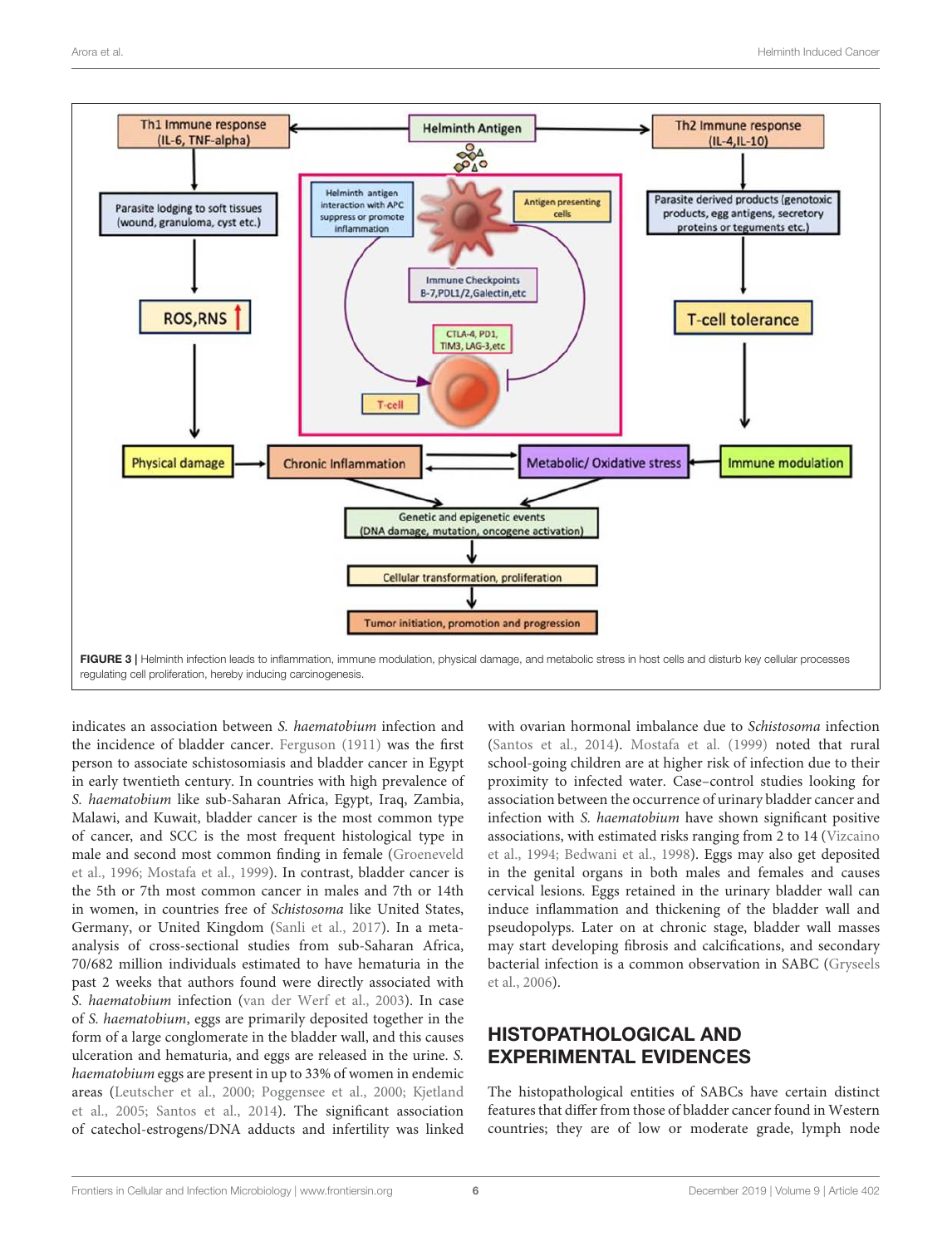

indicates an association between S. haematobium infection and the incidence of bladder cancer. Ferguson (1911) was the first person to associate schistosomiasis and bladder cancer in Egypt in early twentieth century. In countries with high prevalence of S. haematobium like sub-Saharan Africa, Egypt, Iraq, Zambia, Malawi, and Kuwait, bladder cancer is the most common type of cancer, and SCC is the most frequent histological type in male and second most common finding in female (Groeneveld et al., 1996; Mostafa et al., 1999). In contrast, bladder cancer is the 5th or 7th most common cancer in males and 7th or 14th in women, in countries free of Schistosoma like United States, Germany, or United Kingdom (Sanli et al., 2017). In a metaanalysis of cross-sectional studies from sub-Saharan Africa, 70/682 million individuals estimated to have hematuria in the past 2 weeks that authors found were directly associated with S. haematobium infection (van der Werf et al., 2003). In case of S. haematobium, eggs are primarily deposited together in the form of a large conglomerate in the bladder wall, and this causes ulceration and hematuria, and eggs are released in the urine. S. haematobium eggs are present in up to 33% of women in endemic areas (Leutscher et al., 2000; Poggensee et al., 2000; Kjetland et al., 2005; Santos et al., 2014). The significant association of catechol-estrogens/DNA adducts and infertility was linked

with ovarian hormonal imbalance due to Schistosoma infection (Santos et al., 2014). Mostafa et al. (1999) noted that rural school-going children are at higher risk of infection due to their proximity to infected water. Case–control studies looking for association between the occurrence of urinary bladder cancer and infection with S. haematobium have shown significant positive associations, with estimated risks ranging from 2 to 14 (Vizcaino et al., 1994; Bedwani et al., 1998). Eggs may also get deposited in the genital organs in both males and females and causes cervical lesions. Eggs retained in the urinary bladder wall can induce inflammation and thickening of the bladder wall and pseudopolyps. Later on at chronic stage, bladder wall masses may start developing fibrosis and calcifications, and secondary bacterial infection is a common observation in SABC (Gryseels et al., 2006).

# HISTOPATHOLOGICAL AND EXPERIMENTAL EVIDENCES

The histopathological entities of SABCs have certain distinct features that differ from those of bladder cancer found in Western countries; they are of low or moderate grade, lymph node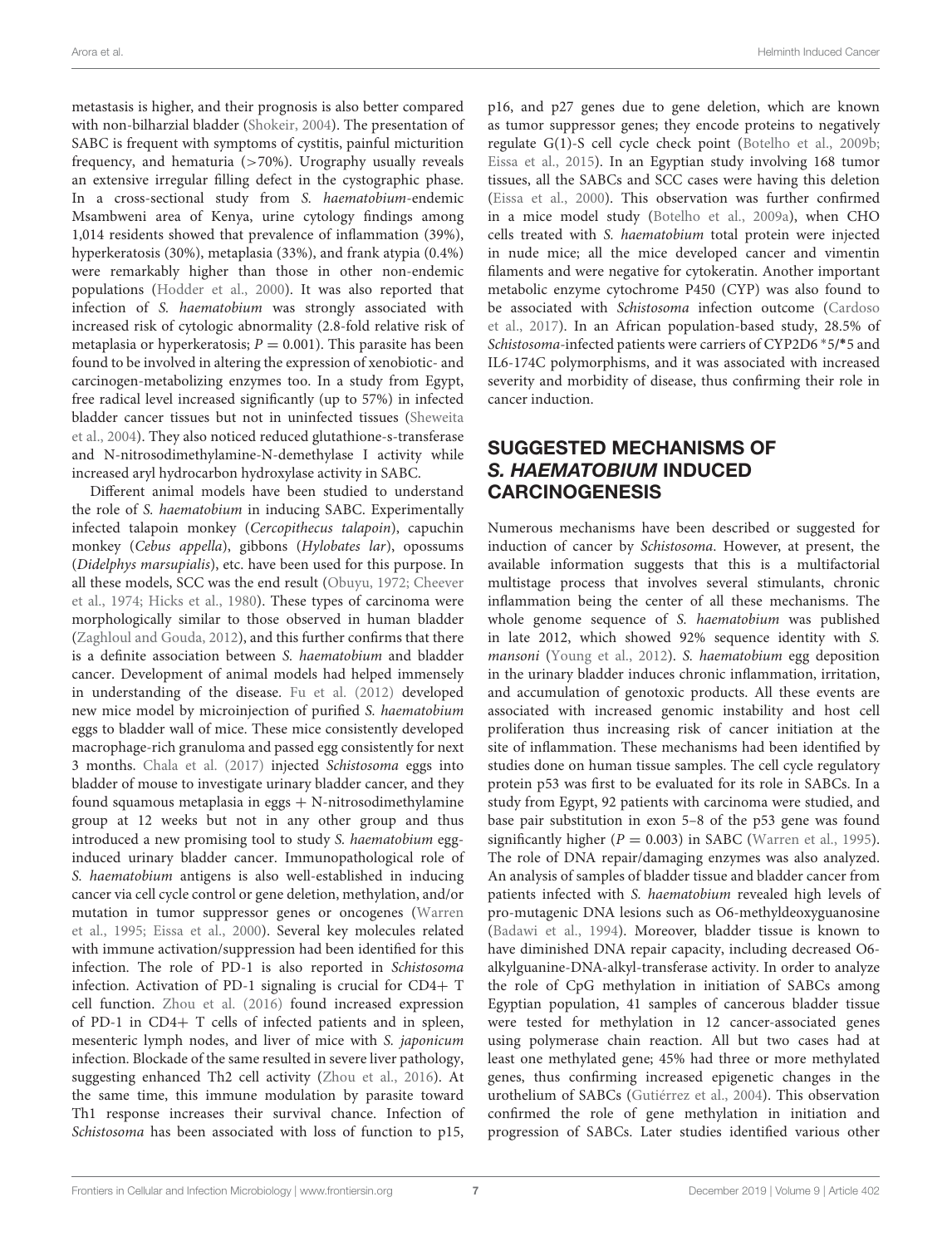metastasis is higher, and their prognosis is also better compared with non-bilharzial bladder (Shokeir, 2004). The presentation of SABC is frequent with symptoms of cystitis, painful micturition frequency, and hematuria  $($ >70%). Urography usually reveals an extensive irregular filling defect in the cystographic phase. In a cross-sectional study from S. haematobium-endemic Msambweni area of Kenya, urine cytology findings among 1,014 residents showed that prevalence of inflammation (39%), hyperkeratosis (30%), metaplasia (33%), and frank atypia (0.4%) were remarkably higher than those in other non-endemic populations (Hodder et al., 2000). It was also reported that infection of S. haematobium was strongly associated with increased risk of cytologic abnormality (2.8-fold relative risk of metaplasia or hyperkeratosis;  $P = 0.001$ ). This parasite has been found to be involved in altering the expression of xenobiotic- and carcinogen-metabolizing enzymes too. In a study from Egypt, free radical level increased significantly (up to 57%) in infected bladder cancer tissues but not in uninfected tissues (Sheweita et al., 2004). They also noticed reduced glutathione-s-transferase and N-nitrosodimethylamine-N-demethylase I activity while increased aryl hydrocarbon hydroxylase activity in SABC.

Different animal models have been studied to understand the role of S. haematobium in inducing SABC. Experimentally infected talapoin monkey (Cercopithecus talapoin), capuchin monkey (Cebus appella), gibbons (Hylobates lar), opossums (Didelphys marsupialis), etc. have been used for this purpose. In all these models, SCC was the end result (Obuyu, 1972; Cheever et al., 1974; Hicks et al., 1980). These types of carcinoma were morphologically similar to those observed in human bladder (Zaghloul and Gouda, 2012), and this further confirms that there is a definite association between S. haematobium and bladder cancer. Development of animal models had helped immensely in understanding of the disease. Fu et al. (2012) developed new mice model by microinjection of purified S. haematobium eggs to bladder wall of mice. These mice consistently developed macrophage-rich granuloma and passed egg consistently for next 3 months. Chala et al. (2017) injected Schistosoma eggs into bladder of mouse to investigate urinary bladder cancer, and they found squamous metaplasia in eggs  $+$  N-nitrosodimethylamine group at 12 weeks but not in any other group and thus introduced a new promising tool to study S. haematobium egginduced urinary bladder cancer. Immunopathological role of S. haematobium antigens is also well-established in inducing cancer via cell cycle control or gene deletion, methylation, and/or mutation in tumor suppressor genes or oncogenes (Warren et al., 1995; Eissa et al., 2000). Several key molecules related with immune activation/suppression had been identified for this infection. The role of PD-1 is also reported in Schistosoma infection. Activation of PD-1 signaling is crucial for CD4+ T cell function. Zhou et al. (2016) found increased expression of PD-1 in CD4+ T cells of infected patients and in spleen, mesenteric lymph nodes, and liver of mice with S. japonicum infection. Blockade of the same resulted in severe liver pathology, suggesting enhanced Th2 cell activity (Zhou et al., 2016). At the same time, this immune modulation by parasite toward Th1 response increases their survival chance. Infection of Schistosoma has been associated with loss of function to p15, p16, and p27 genes due to gene deletion, which are known as tumor suppressor genes; they encode proteins to negatively regulate G(1)-S cell cycle check point (Botelho et al., 2009b; Eissa et al., 2015). In an Egyptian study involving 168 tumor tissues, all the SABCs and SCC cases were having this deletion (Eissa et al., 2000). This observation was further confirmed in a mice model study (Botelho et al., 2009a), when CHO cells treated with S. haematobium total protein were injected in nude mice; all the mice developed cancer and vimentin filaments and were negative for cytokeratin. Another important metabolic enzyme cytochrome P450 (CYP) was also found to be associated with Schistosoma infection outcome (Cardoso et al., 2017). In an African population-based study, 28.5% of Schistosoma-infected patients were carriers of CYP2D6 \*5/\*5 and IL6-174C polymorphisms, and it was associated with increased severity and morbidity of disease, thus confirming their role in cancer induction.

### SUGGESTED MECHANISMS OF *S. HAEMATOBIUM* INDUCED **CARCINOGENESIS**

Numerous mechanisms have been described or suggested for induction of cancer by Schistosoma. However, at present, the available information suggests that this is a multifactorial multistage process that involves several stimulants, chronic inflammation being the center of all these mechanisms. The whole genome sequence of S. haematobium was published in late 2012, which showed 92% sequence identity with S. mansoni (Young et al., 2012). S. haematobium egg deposition in the urinary bladder induces chronic inflammation, irritation, and accumulation of genotoxic products. All these events are associated with increased genomic instability and host cell proliferation thus increasing risk of cancer initiation at the site of inflammation. These mechanisms had been identified by studies done on human tissue samples. The cell cycle regulatory protein p53 was first to be evaluated for its role in SABCs. In a study from Egypt, 92 patients with carcinoma were studied, and base pair substitution in exon 5–8 of the p53 gene was found significantly higher ( $P = 0.003$ ) in SABC (Warren et al., 1995). The role of DNA repair/damaging enzymes was also analyzed. An analysis of samples of bladder tissue and bladder cancer from patients infected with S. haematobium revealed high levels of pro-mutagenic DNA lesions such as O6-methyldeoxyguanosine (Badawi et al., 1994). Moreover, bladder tissue is known to have diminished DNA repair capacity, including decreased O6 alkylguanine-DNA-alkyl-transferase activity. In order to analyze the role of CpG methylation in initiation of SABCs among Egyptian population, 41 samples of cancerous bladder tissue were tested for methylation in 12 cancer-associated genes using polymerase chain reaction. All but two cases had at least one methylated gene; 45% had three or more methylated genes, thus confirming increased epigenetic changes in the urothelium of SABCs (Gutiérrez et al., 2004). This observation confirmed the role of gene methylation in initiation and progression of SABCs. Later studies identified various other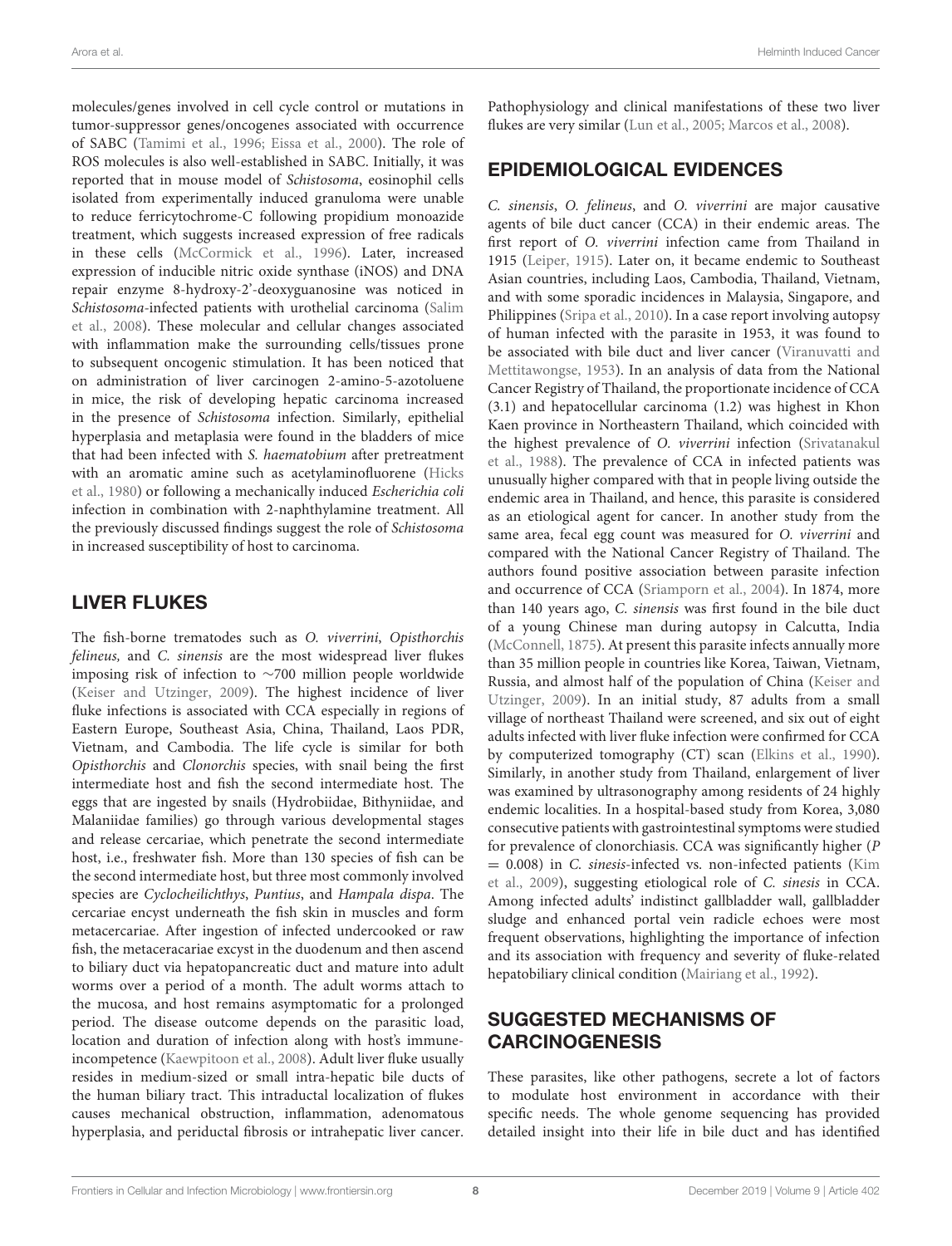molecules/genes involved in cell cycle control or mutations in tumor-suppressor genes/oncogenes associated with occurrence of SABC (Tamimi et al., 1996; Eissa et al., 2000). The role of ROS molecules is also well-established in SABC. Initially, it was reported that in mouse model of Schistosoma, eosinophil cells isolated from experimentally induced granuloma were unable to reduce ferricytochrome-C following propidium monoazide treatment, which suggests increased expression of free radicals in these cells (McCormick et al., 1996). Later, increased expression of inducible nitric oxide synthase (iNOS) and DNA repair enzyme 8-hydroxy-2'-deoxyguanosine was noticed in Schistosoma-infected patients with urothelial carcinoma (Salim et al., 2008). These molecular and cellular changes associated with inflammation make the surrounding cells/tissues prone to subsequent oncogenic stimulation. It has been noticed that on administration of liver carcinogen 2-amino-5-azotoluene in mice, the risk of developing hepatic carcinoma increased in the presence of Schistosoma infection. Similarly, epithelial hyperplasia and metaplasia were found in the bladders of mice that had been infected with S. haematobium after pretreatment with an aromatic amine such as acetylaminofluorene (Hicks et al., 1980) or following a mechanically induced Escherichia coli infection in combination with 2-naphthylamine treatment. All the previously discussed findings suggest the role of Schistosoma in increased susceptibility of host to carcinoma.

### LIVER FLUKES

The fish-borne trematodes such as O. viverrini, Opisthorchis felineus, and C. sinensis are the most widespread liver flukes imposing risk of infection to ∼700 million people worldwide (Keiser and Utzinger, 2009). The highest incidence of liver fluke infections is associated with CCA especially in regions of Eastern Europe, Southeast Asia, China, Thailand, Laos PDR, Vietnam, and Cambodia. The life cycle is similar for both Opisthorchis and Clonorchis species, with snail being the first intermediate host and fish the second intermediate host. The eggs that are ingested by snails (Hydrobiidae, Bithyniidae, and Malaniidae families) go through various developmental stages and release cercariae, which penetrate the second intermediate host, i.e., freshwater fish. More than 130 species of fish can be the second intermediate host, but three most commonly involved species are Cyclocheilichthys, Puntius, and Hampala dispa. The cercariae encyst underneath the fish skin in muscles and form metacercariae. After ingestion of infected undercooked or raw fish, the metaceracariae excyst in the duodenum and then ascend to biliary duct via hepatopancreatic duct and mature into adult worms over a period of a month. The adult worms attach to the mucosa, and host remains asymptomatic for a prolonged period. The disease outcome depends on the parasitic load, location and duration of infection along with host's immuneincompetence (Kaewpitoon et al., 2008). Adult liver fluke usually resides in medium-sized or small intra-hepatic bile ducts of the human biliary tract. This intraductal localization of flukes causes mechanical obstruction, inflammation, adenomatous hyperplasia, and periductal fibrosis or intrahepatic liver cancer.

Pathophysiology and clinical manifestations of these two liver flukes are very similar (Lun et al., 2005; Marcos et al., 2008).

#### EPIDEMIOLOGICAL EVIDENCES

C. sinensis, O. felineus, and O. viverrini are major causative agents of bile duct cancer (CCA) in their endemic areas. The first report of O. viverrini infection came from Thailand in 1915 (Leiper, 1915). Later on, it became endemic to Southeast Asian countries, including Laos, Cambodia, Thailand, Vietnam, and with some sporadic incidences in Malaysia, Singapore, and Philippines (Sripa et al., 2010). In a case report involving autopsy of human infected with the parasite in 1953, it was found to be associated with bile duct and liver cancer (Viranuvatti and Mettitawongse, 1953). In an analysis of data from the National Cancer Registry of Thailand, the proportionate incidence of CCA (3.1) and hepatocellular carcinoma (1.2) was highest in Khon Kaen province in Northeastern Thailand, which coincided with the highest prevalence of O. viverrini infection (Srivatanakul et al., 1988). The prevalence of CCA in infected patients was unusually higher compared with that in people living outside the endemic area in Thailand, and hence, this parasite is considered as an etiological agent for cancer. In another study from the same area, fecal egg count was measured for O. viverrini and compared with the National Cancer Registry of Thailand. The authors found positive association between parasite infection and occurrence of CCA (Sriamporn et al., 2004). In 1874, more than 140 years ago, C. sinensis was first found in the bile duct of a young Chinese man during autopsy in Calcutta, India (McConnell, 1875). At present this parasite infects annually more than 35 million people in countries like Korea, Taiwan, Vietnam, Russia, and almost half of the population of China (Keiser and Utzinger, 2009). In an initial study, 87 adults from a small village of northeast Thailand were screened, and six out of eight adults infected with liver fluke infection were confirmed for CCA by computerized tomography (CT) scan (Elkins et al., 1990). Similarly, in another study from Thailand, enlargement of liver was examined by ultrasonography among residents of 24 highly endemic localities. In a hospital-based study from Korea, 3,080 consecutive patients with gastrointestinal symptoms were studied for prevalence of clonorchiasis. CCA was significantly higher (P = 0.008) in C. sinesis-infected vs. non-infected patients (Kim et al., 2009), suggesting etiological role of C. sinesis in CCA. Among infected adults' indistinct gallbladder wall, gallbladder sludge and enhanced portal vein radicle echoes were most frequent observations, highlighting the importance of infection and its association with frequency and severity of fluke-related hepatobiliary clinical condition (Mairiang et al., 1992).

### SUGGESTED MECHANISMS OF **CARCINOGENESIS**

These parasites, like other pathogens, secrete a lot of factors to modulate host environment in accordance with their specific needs. The whole genome sequencing has provided detailed insight into their life in bile duct and has identified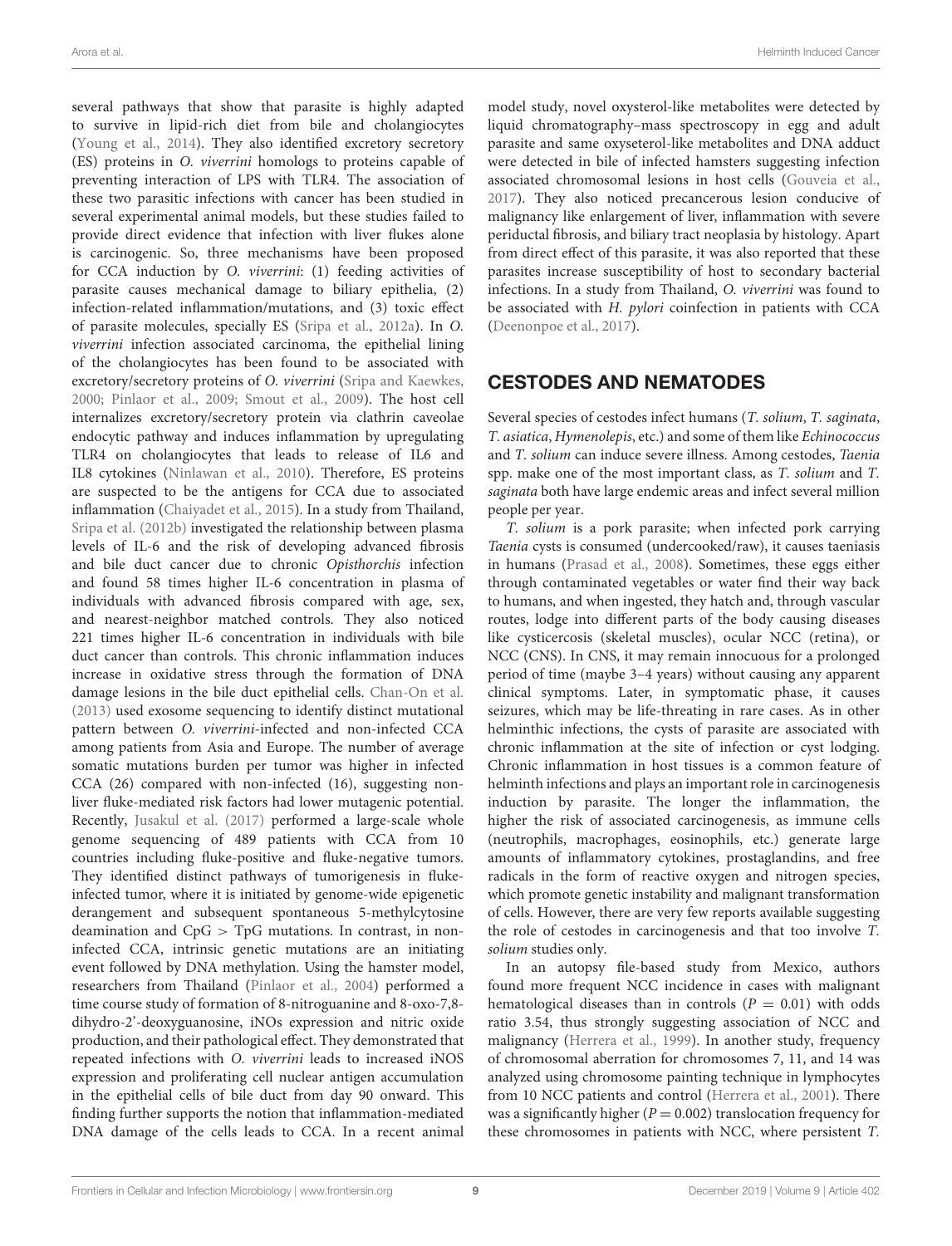several pathways that show that parasite is highly adapted to survive in lipid-rich diet from bile and cholangiocytes (Young et al., 2014). They also identified excretory secretory (ES) proteins in O. viverrini homologs to proteins capable of preventing interaction of LPS with TLR4. The association of these two parasitic infections with cancer has been studied in several experimental animal models, but these studies failed to provide direct evidence that infection with liver flukes alone is carcinogenic. So, three mechanisms have been proposed for CCA induction by O. viverrini: (1) feeding activities of parasite causes mechanical damage to biliary epithelia, (2) infection-related inflammation/mutations, and (3) toxic effect of parasite molecules, specially ES (Sripa et al., 2012a). In O. viverrini infection associated carcinoma, the epithelial lining of the cholangiocytes has been found to be associated with excretory/secretory proteins of O. viverrini (Sripa and Kaewkes, 2000; Pinlaor et al., 2009; Smout et al., 2009). The host cell internalizes excretory/secretory protein via clathrin caveolae endocytic pathway and induces inflammation by upregulating TLR4 on cholangiocytes that leads to release of IL6 and IL8 cytokines (Ninlawan et al., 2010). Therefore, ES proteins are suspected to be the antigens for CCA due to associated inflammation (Chaiyadet et al., 2015). In a study from Thailand, Sripa et al. (2012b) investigated the relationship between plasma levels of IL-6 and the risk of developing advanced fibrosis and bile duct cancer due to chronic Opisthorchis infection and found 58 times higher IL-6 concentration in plasma of individuals with advanced fibrosis compared with age, sex, and nearest-neighbor matched controls. They also noticed 221 times higher IL-6 concentration in individuals with bile duct cancer than controls. This chronic inflammation induces increase in oxidative stress through the formation of DNA damage lesions in the bile duct epithelial cells. Chan-On et al. (2013) used exosome sequencing to identify distinct mutational pattern between O. viverrini-infected and non-infected CCA among patients from Asia and Europe. The number of average somatic mutations burden per tumor was higher in infected CCA (26) compared with non-infected (16), suggesting nonliver fluke-mediated risk factors had lower mutagenic potential. Recently, Jusakul et al. (2017) performed a large-scale whole genome sequencing of 489 patients with CCA from 10 countries including fluke-positive and fluke-negative tumors. They identified distinct pathways of tumorigenesis in flukeinfected tumor, where it is initiated by genome-wide epigenetic derangement and subsequent spontaneous 5-methylcytosine deamination and CpG > TpG mutations. In contrast, in noninfected CCA, intrinsic genetic mutations are an initiating event followed by DNA methylation. Using the hamster model, researchers from Thailand (Pinlaor et al., 2004) performed a time course study of formation of 8-nitroguanine and 8-oxo-7,8 dihydro-2'-deoxyguanosine, iNOs expression and nitric oxide production, and their pathological effect. They demonstrated that repeated infections with O. viverrini leads to increased iNOS expression and proliferating cell nuclear antigen accumulation in the epithelial cells of bile duct from day 90 onward. This finding further supports the notion that inflammation-mediated DNA damage of the cells leads to CCA. In a recent animal

model study, novel oxysterol-like metabolites were detected by liquid chromatography–mass spectroscopy in egg and adult parasite and same oxyseterol-like metabolites and DNA adduct were detected in bile of infected hamsters suggesting infection associated chromosomal lesions in host cells (Gouveia et al., 2017). They also noticed precancerous lesion conducive of malignancy like enlargement of liver, inflammation with severe periductal fibrosis, and biliary tract neoplasia by histology. Apart from direct effect of this parasite, it was also reported that these parasites increase susceptibility of host to secondary bacterial infections. In a study from Thailand, O. viverrini was found to be associated with H. pylori coinfection in patients with CCA (Deenonpoe et al., 2017).

#### CESTODES AND NEMATODES

Several species of cestodes infect humans (T. solium, T. saginata, T. asiatica, Hymenolepis, etc.) and some of them like Echinococcus and T. solium can induce severe illness. Among cestodes, Taenia spp. make one of the most important class, as T. solium and T. saginata both have large endemic areas and infect several million people per year.

T. solium is a pork parasite; when infected pork carrying Taenia cysts is consumed (undercooked/raw), it causes taeniasis in humans (Prasad et al., 2008). Sometimes, these eggs either through contaminated vegetables or water find their way back to humans, and when ingested, they hatch and, through vascular routes, lodge into different parts of the body causing diseases like cysticercosis (skeletal muscles), ocular NCC (retina), or NCC (CNS). In CNS, it may remain innocuous for a prolonged period of time (maybe 3–4 years) without causing any apparent clinical symptoms. Later, in symptomatic phase, it causes seizures, which may be life-threating in rare cases. As in other helminthic infections, the cysts of parasite are associated with chronic inflammation at the site of infection or cyst lodging. Chronic inflammation in host tissues is a common feature of helminth infections and plays an important role in carcinogenesis induction by parasite. The longer the inflammation, the higher the risk of associated carcinogenesis, as immune cells (neutrophils, macrophages, eosinophils, etc.) generate large amounts of inflammatory cytokines, prostaglandins, and free radicals in the form of reactive oxygen and nitrogen species, which promote genetic instability and malignant transformation of cells. However, there are very few reports available suggesting the role of cestodes in carcinogenesis and that too involve T. solium studies only.

In an autopsy file-based study from Mexico, authors found more frequent NCC incidence in cases with malignant hematological diseases than in controls ( $P = 0.01$ ) with odds ratio 3.54, thus strongly suggesting association of NCC and malignancy (Herrera et al., 1999). In another study, frequency of chromosomal aberration for chromosomes 7, 11, and 14 was analyzed using chromosome painting technique in lymphocytes from 10 NCC patients and control (Herrera et al., 2001). There was a significantly higher ( $P = 0.002$ ) translocation frequency for these chromosomes in patients with NCC, where persistent T.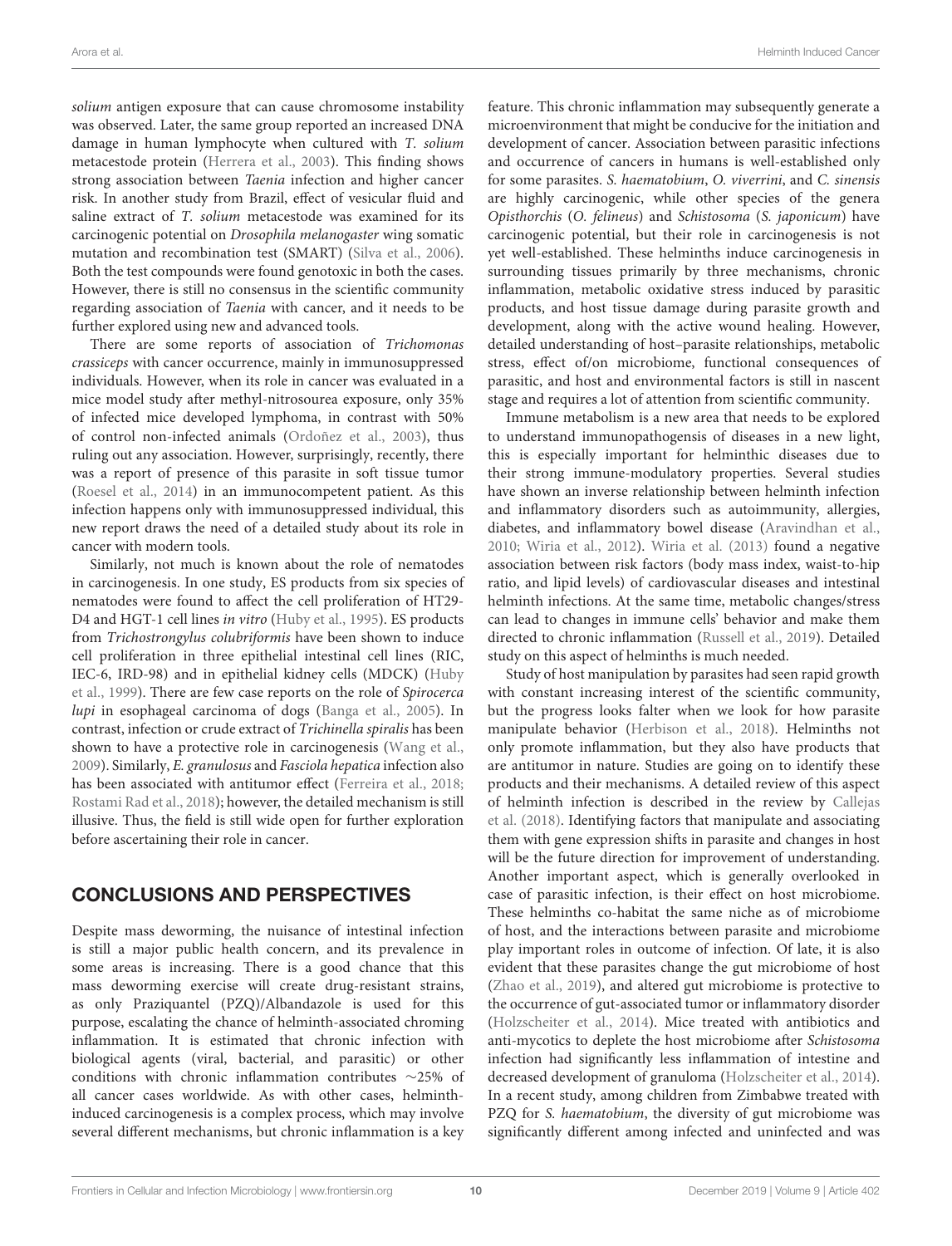solium antigen exposure that can cause chromosome instability was observed. Later, the same group reported an increased DNA damage in human lymphocyte when cultured with T. solium metacestode protein (Herrera et al., 2003). This finding shows strong association between Taenia infection and higher cancer risk. In another study from Brazil, effect of vesicular fluid and saline extract of T. solium metacestode was examined for its carcinogenic potential on Drosophila melanogaster wing somatic mutation and recombination test (SMART) (Silva et al., 2006). Both the test compounds were found genotoxic in both the cases. However, there is still no consensus in the scientific community regarding association of Taenia with cancer, and it needs to be further explored using new and advanced tools.

There are some reports of association of Trichomonas crassiceps with cancer occurrence, mainly in immunosuppressed individuals. However, when its role in cancer was evaluated in a mice model study after methyl-nitrosourea exposure, only 35% of infected mice developed lymphoma, in contrast with 50% of control non-infected animals (Ordoñez et al., 2003), thus ruling out any association. However, surprisingly, recently, there was a report of presence of this parasite in soft tissue tumor (Roesel et al., 2014) in an immunocompetent patient. As this infection happens only with immunosuppressed individual, this new report draws the need of a detailed study about its role in cancer with modern tools.

Similarly, not much is known about the role of nematodes in carcinogenesis. In one study, ES products from six species of nematodes were found to affect the cell proliferation of HT29- D4 and HGT-1 cell lines in vitro (Huby et al., 1995). ES products from Trichostrongylus colubriformis have been shown to induce cell proliferation in three epithelial intestinal cell lines (RIC, IEC-6, IRD-98) and in epithelial kidney cells (MDCK) (Huby et al., 1999). There are few case reports on the role of Spirocerca lupi in esophageal carcinoma of dogs (Banga et al., 2005). In contrast, infection or crude extract of Trichinella spiralis has been shown to have a protective role in carcinogenesis (Wang et al., 2009). Similarly, E. granulosus and Fasciola hepatica infection also has been associated with antitumor effect (Ferreira et al., 2018; Rostami Rad et al., 2018); however, the detailed mechanism is still illusive. Thus, the field is still wide open for further exploration before ascertaining their role in cancer.

# CONCLUSIONS AND PERSPECTIVES

Despite mass deworming, the nuisance of intestinal infection is still a major public health concern, and its prevalence in some areas is increasing. There is a good chance that this mass deworming exercise will create drug-resistant strains, as only Praziquantel (PZQ)/Albandazole is used for this purpose, escalating the chance of helminth-associated chroming inflammation. It is estimated that chronic infection with biological agents (viral, bacterial, and parasitic) or other conditions with chronic inflammation contributes ∼25% of all cancer cases worldwide. As with other cases, helminthinduced carcinogenesis is a complex process, which may involve several different mechanisms, but chronic inflammation is a key feature. This chronic inflammation may subsequently generate a microenvironment that might be conducive for the initiation and development of cancer. Association between parasitic infections and occurrence of cancers in humans is well-established only for some parasites. S. haematobium, O. viverrini, and C. sinensis are highly carcinogenic, while other species of the genera Opisthorchis (O. felineus) and Schistosoma (S. japonicum) have carcinogenic potential, but their role in carcinogenesis is not yet well-established. These helminths induce carcinogenesis in surrounding tissues primarily by three mechanisms, chronic inflammation, metabolic oxidative stress induced by parasitic products, and host tissue damage during parasite growth and development, along with the active wound healing. However, detailed understanding of host–parasite relationships, metabolic stress, effect of/on microbiome, functional consequences of parasitic, and host and environmental factors is still in nascent stage and requires a lot of attention from scientific community.

Immune metabolism is a new area that needs to be explored to understand immunopathogensis of diseases in a new light, this is especially important for helminthic diseases due to their strong immune-modulatory properties. Several studies have shown an inverse relationship between helminth infection and inflammatory disorders such as autoimmunity, allergies, diabetes, and inflammatory bowel disease (Aravindhan et al., 2010; Wiria et al., 2012). Wiria et al. (2013) found a negative association between risk factors (body mass index, waist-to-hip ratio, and lipid levels) of cardiovascular diseases and intestinal helminth infections. At the same time, metabolic changes/stress can lead to changes in immune cells' behavior and make them directed to chronic inflammation (Russell et al., 2019). Detailed study on this aspect of helminths is much needed.

Study of host manipulation by parasites had seen rapid growth with constant increasing interest of the scientific community, but the progress looks falter when we look for how parasite manipulate behavior (Herbison et al., 2018). Helminths not only promote inflammation, but they also have products that are antitumor in nature. Studies are going on to identify these products and their mechanisms. A detailed review of this aspect of helminth infection is described in the review by Callejas et al. (2018). Identifying factors that manipulate and associating them with gene expression shifts in parasite and changes in host will be the future direction for improvement of understanding. Another important aspect, which is generally overlooked in case of parasitic infection, is their effect on host microbiome. These helminths co-habitat the same niche as of microbiome of host, and the interactions between parasite and microbiome play important roles in outcome of infection. Of late, it is also evident that these parasites change the gut microbiome of host (Zhao et al., 2019), and altered gut microbiome is protective to the occurrence of gut-associated tumor or inflammatory disorder (Holzscheiter et al., 2014). Mice treated with antibiotics and anti-mycotics to deplete the host microbiome after Schistosoma infection had significantly less inflammation of intestine and decreased development of granuloma (Holzscheiter et al., 2014). In a recent study, among children from Zimbabwe treated with PZQ for S. haematobium, the diversity of gut microbiome was significantly different among infected and uninfected and was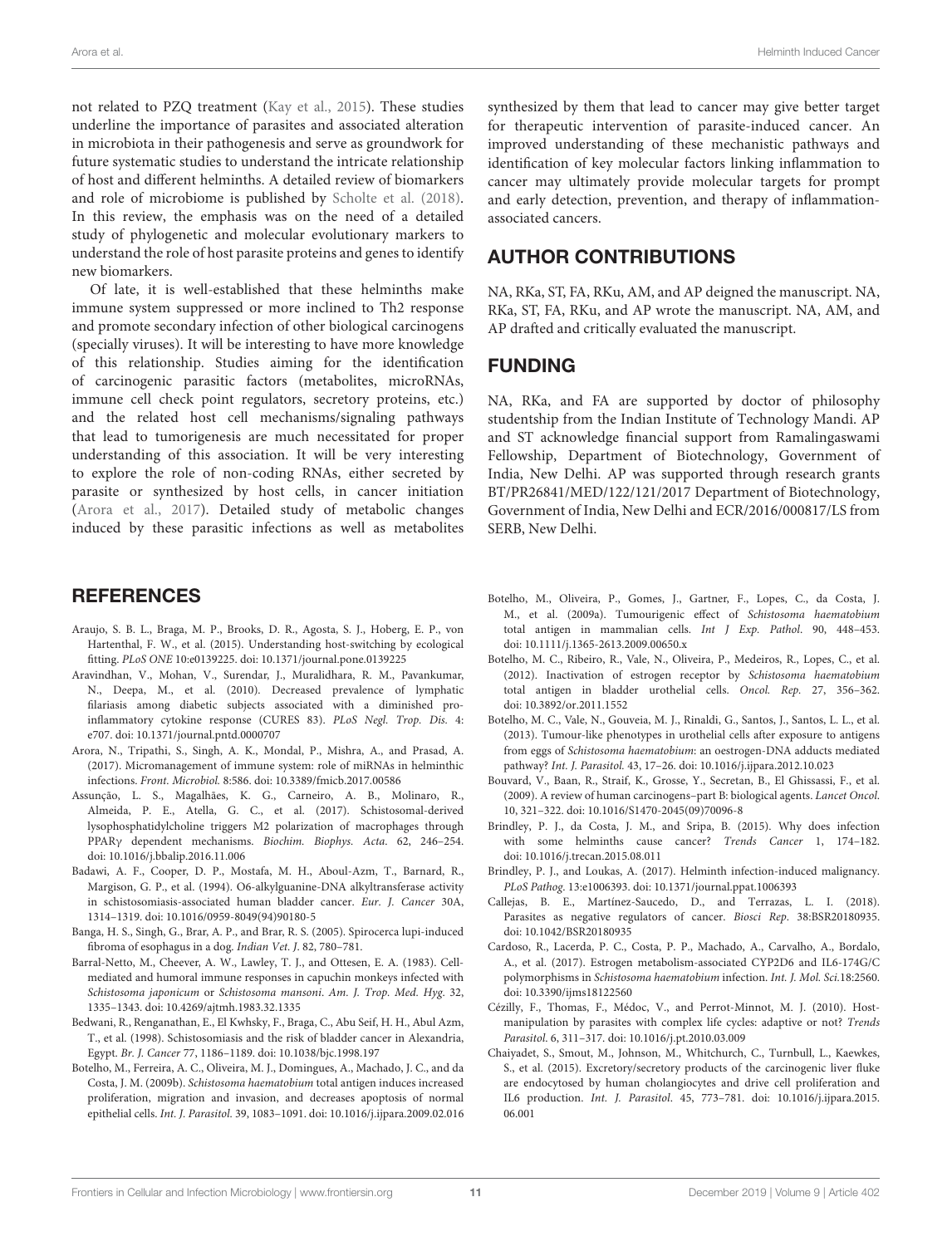not related to PZQ treatment (Kay et al., 2015). These studies underline the importance of parasites and associated alteration in microbiota in their pathogenesis and serve as groundwork for future systematic studies to understand the intricate relationship of host and different helminths. A detailed review of biomarkers and role of microbiome is published by Scholte et al. (2018). In this review, the emphasis was on the need of a detailed study of phylogenetic and molecular evolutionary markers to understand the role of host parasite proteins and genes to identify new biomarkers.

Of late, it is well-established that these helminths make immune system suppressed or more inclined to Th2 response and promote secondary infection of other biological carcinogens (specially viruses). It will be interesting to have more knowledge of this relationship. Studies aiming for the identification of carcinogenic parasitic factors (metabolites, microRNAs, immune cell check point regulators, secretory proteins, etc.) and the related host cell mechanisms/signaling pathways that lead to tumorigenesis are much necessitated for proper understanding of this association. It will be very interesting to explore the role of non-coding RNAs, either secreted by parasite or synthesized by host cells, in cancer initiation (Arora et al., 2017). Detailed study of metabolic changes induced by these parasitic infections as well as metabolites

#### **REFERENCES**

- Araujo, S. B. L., Braga, M. P., Brooks, D. R., Agosta, S. J., Hoberg, E. P., von Hartenthal, F. W., et al. (2015). Understanding host-switching by ecological fitting. PLoS ONE 10:e0139225. doi: 10.1371/journal.pone.0139225
- Aravindhan, V., Mohan, V., Surendar, J., Muralidhara, R. M., Pavankumar, N., Deepa, M., et al. (2010). Decreased prevalence of lymphatic filariasis among diabetic subjects associated with a diminished proinflammatory cytokine response (CURES 83). PLoS Negl. Trop. Dis. 4: e707. doi: 10.1371/journal.pntd.0000707
- Arora, N., Tripathi, S., Singh, A. K., Mondal, P., Mishra, A., and Prasad, A. (2017). Micromanagement of immune system: role of miRNAs in helminthic infections. Front. Microbiol. 8:586. doi: 10.3389/fmicb.2017.00586
- Assunção, L. S., Magalhães, K. G., Carneiro, A. B., Molinaro, R., Almeida, P. E., Atella, G. C., et al. (2017). Schistosomal-derived lysophosphatidylcholine triggers M2 polarization of macrophages through PPARγ dependent mechanisms. Biochim. Biophys. Acta. 62, 246–254. doi: 10.1016/j.bbalip.2016.11.006
- Badawi, A. F., Cooper, D. P., Mostafa, M. H., Aboul-Azm, T., Barnard, R., Margison, G. P., et al. (1994). O6-alkylguanine-DNA alkyltransferase activity in schistosomiasis-associated human bladder cancer. Eur. J. Cancer 30A, 1314–1319. doi: 10.1016/0959-8049(94)90180-5
- Banga, H. S., Singh, G., Brar, A. P., and Brar, R. S. (2005). Spirocerca lupi-induced fibroma of esophagus in a dog. Indian Vet. J. 82, 780–781.
- Barral-Netto, M., Cheever, A. W., Lawley, T. J., and Ottesen, E. A. (1983). Cellmediated and humoral immune responses in capuchin monkeys infected with Schistosoma japonicum or Schistosoma mansoni. Am. J. Trop. Med. Hyg. 32, 1335–1343. doi: 10.4269/ajtmh.1983.32.1335
- Bedwani, R., Renganathan, E., El Kwhsky, F., Braga, C., Abu Seif, H. H., Abul Azm, T., et al. (1998). Schistosomiasis and the risk of bladder cancer in Alexandria, Egypt. Br. J. Cancer 77, 1186–1189. doi: 10.1038/bjc.1998.197
- Botelho, M., Ferreira, A. C., Oliveira, M. J., Domingues, A., Machado, J. C., and da Costa, J. M. (2009b). Schistosoma haematobium total antigen induces increased proliferation, migration and invasion, and decreases apoptosis of normal epithelial cells. Int. J. Parasitol. 39, 1083–1091. doi: 10.1016/j.ijpara.2009.02.016

synthesized by them that lead to cancer may give better target for therapeutic intervention of parasite-induced cancer. An improved understanding of these mechanistic pathways and identification of key molecular factors linking inflammation to cancer may ultimately provide molecular targets for prompt and early detection, prevention, and therapy of inflammationassociated cancers.

# AUTHOR CONTRIBUTIONS

NA, RKa, ST, FA, RKu, AM, and AP deigned the manuscript. NA, RKa, ST, FA, RKu, and AP wrote the manuscript. NA, AM, and AP drafted and critically evaluated the manuscript.

#### FUNDING

NA, RKa, and FA are supported by doctor of philosophy studentship from the Indian Institute of Technology Mandi. AP and ST acknowledge financial support from Ramalingaswami Fellowship, Department of Biotechnology, Government of India, New Delhi. AP was supported through research grants BT/PR26841/MED/122/121/2017 Department of Biotechnology, Government of India, New Delhi and ECR/2016/000817/LS from SERB, New Delhi.

- Botelho, M., Oliveira, P., Gomes, J., Gartner, F., Lopes, C., da Costa, J. M., et al. (2009a). Tumourigenic effect of Schistosoma haematobium total antigen in mammalian cells. Int J Exp. Pathol. 90, 448–453. doi: 10.1111/j.1365-2613.2009.00650.x
- Botelho, M. C., Ribeiro, R., Vale, N., Oliveira, P., Medeiros, R., Lopes, C., et al. (2012). Inactivation of estrogen receptor by Schistosoma haematobium total antigen in bladder urothelial cells. Oncol. Rep. 27, 356–362. doi: 10.3892/or.2011.1552
- Botelho, M. C., Vale, N., Gouveia, M. J., Rinaldi, G., Santos, J., Santos, L. L., et al. (2013). Tumour-like phenotypes in urothelial cells after exposure to antigens from eggs of Schistosoma haematobium: an oestrogen-DNA adducts mediated pathway? Int. J. Parasitol. 43, 17–26. doi: 10.1016/j.ijpara.2012.10.023
- Bouvard, V., Baan, R., Straif, K., Grosse, Y., Secretan, B., El Ghissassi, F., et al. (2009). A review of human carcinogens–part B: biological agents. Lancet Oncol. 10, 321–322. doi: 10.1016/S1470-2045(09)70096-8
- Brindley, P. J., da Costa, J. M., and Sripa, B. (2015). Why does infection with some helminths cause cancer? Trends Cancer 1, 174–182. doi: 10.1016/j.trecan.2015.08.011
- Brindley, P. J., and Loukas, A. (2017). Helminth infection-induced malignancy. PLoS Pathog. 13:e1006393. doi: 10.1371/journal.ppat.1006393
- Callejas, B. E., Martínez-Saucedo, D., and Terrazas, L. I. (2018). Parasites as negative regulators of cancer. Biosci Rep. 38:BSR20180935. doi: 10.1042/BSR20180935
- Cardoso, R., Lacerda, P. C., Costa, P. P., Machado, A., Carvalho, A., Bordalo, A., et al. (2017). Estrogen metabolism-associated CYP2D6 and IL6-174G/C polymorphisms in Schistosoma haematobium infection. Int. J. Mol. Sci.18:2560. doi: 10.3390/ijms18122560
- Cézilly, F., Thomas, F., Médoc, V., and Perrot-Minnot, M. J. (2010). Hostmanipulation by parasites with complex life cycles: adaptive or not? Trends Parasitol. 6, 311–317. doi: 10.1016/j.pt.2010.03.009
- Chaiyadet, S., Smout, M., Johnson, M., Whitchurch, C., Turnbull, L., Kaewkes, S., et al. (2015). Excretory/secretory products of the carcinogenic liver fluke are endocytosed by human cholangiocytes and drive cell proliferation and IL6 production. Int. J. Parasitol. 45, 773–781. doi: 10.1016/j.ijpara.2015. 06.001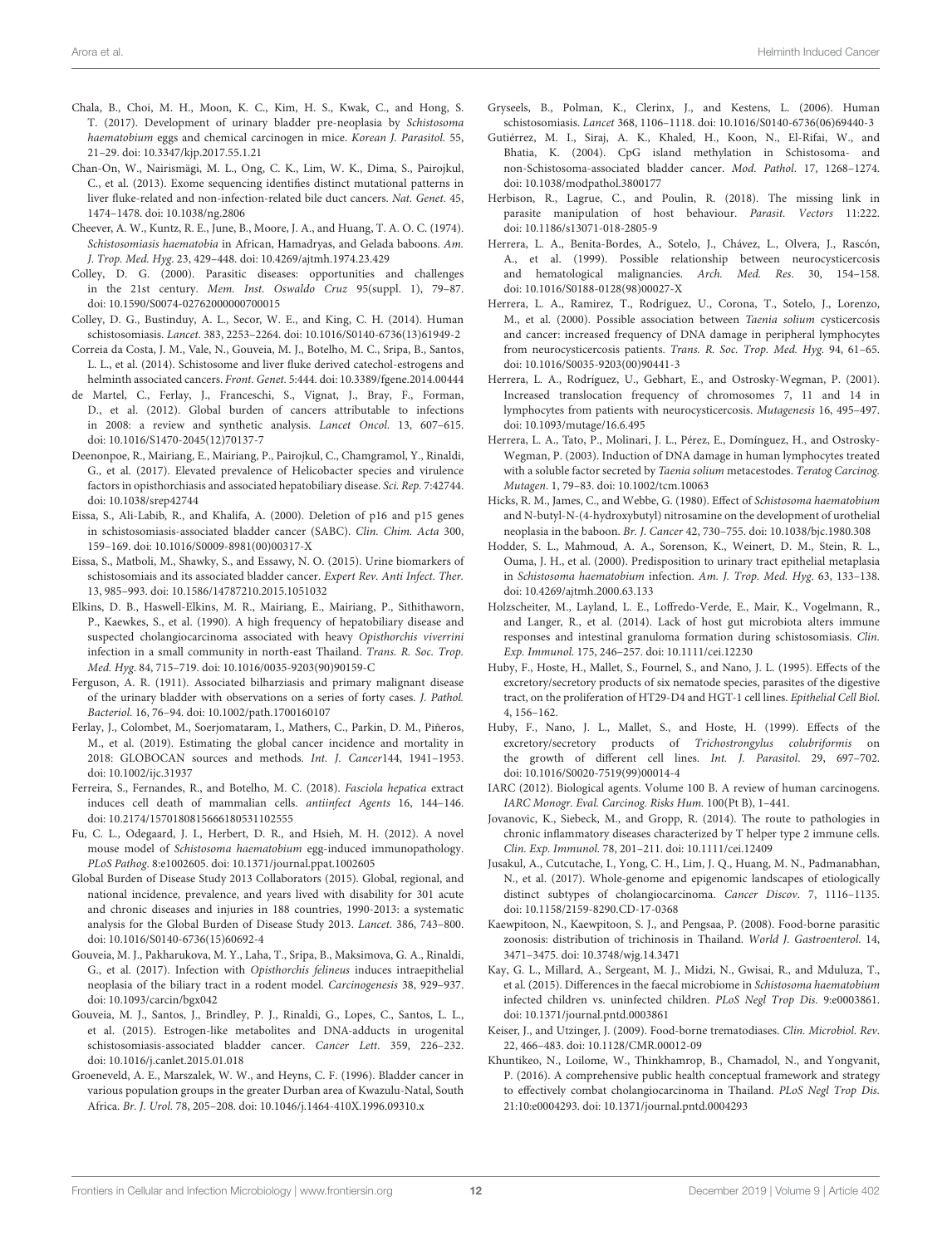- Chala, B., Choi, M. H., Moon, K. C., Kim, H. S., Kwak, C., and Hong, S. T. (2017). Development of urinary bladder pre-neoplasia by Schistosoma haematobium eggs and chemical carcinogen in mice. Korean J. Parasitol. 55, 21–29. doi: 10.3347/kjp.2017.55.1.21
- Chan-On, W., Nairismägi, M. L., Ong, C. K., Lim, W. K., Dima, S., Pairojkul, C., et al. (2013). Exome sequencing identifies distinct mutational patterns in liver fluke-related and non-infection-related bile duct cancers. Nat. Genet. 45, 1474–1478. doi: 10.1038/ng.2806
- Cheever, A. W., Kuntz, R. E., June, B., Moore, J. A., and Huang, T. A. O. C. (1974). Schistosomiasis haematobia in African, Hamadryas, and Gelada baboons. Am. J. Trop. Med. Hyg. 23, 429–448. doi: 10.4269/ajtmh.1974.23.429
- Colley, D. G. (2000). Parasitic diseases: opportunities and challenges in the 21st century. Mem. Inst. Oswaldo Cruz 95(suppl. 1), 79–87. doi: 10.1590/S0074-02762000000700015
- Colley, D. G., Bustinduy, A. L., Secor, W. E., and King, C. H. (2014). Human schistosomiasis. Lancet. 383, 2253–2264. doi: 10.1016/S0140-6736(13)61949-2
- Correia da Costa, J. M., Vale, N., Gouveia, M. J., Botelho, M. C., Sripa, B., Santos, L. L., et al. (2014). Schistosome and liver fluke derived catechol-estrogens and helminth associated cancers. Front. Genet. 5:444. doi: 10.3389/fgene.2014.00444
- de Martel, C., Ferlay, J., Franceschi, S., Vignat, J., Bray, F., Forman, D., et al. (2012). Global burden of cancers attributable to infections in 2008: a review and synthetic analysis. Lancet Oncol. 13, 607–615. doi: 10.1016/S1470-2045(12)70137-7
- Deenonpoe, R., Mairiang, E., Mairiang, P., Pairojkul, C., Chamgramol, Y., Rinaldi, G., et al. (2017). Elevated prevalence of Helicobacter species and virulence factors in opisthorchiasis and associated hepatobiliary disease. Sci. Rep. 7:42744. doi: 10.1038/srep42744
- Eissa, S., Ali-Labib, R., and Khalifa, A. (2000). Deletion of p16 and p15 genes in schistosomiasis-associated bladder cancer (SABC). Clin. Chim. Acta 300, 159–169. doi: 10.1016/S0009-8981(00)00317-X
- Eissa, S., Matboli, M., Shawky, S., and Essawy, N. O. (2015). Urine biomarkers of schistosomiais and its associated bladder cancer. Expert Rev. Anti Infect. Ther. 13, 985–993. doi: 10.1586/14787210.2015.1051032
- Elkins, D. B., Haswell-Elkins, M. R., Mairiang, E., Mairiang, P., Sithithaworn, P., Kaewkes, S., et al. (1990). A high frequency of hepatobiliary disease and suspected cholangiocarcinoma associated with heavy Opisthorchis viverrini infection in a small community in north-east Thailand. Trans. R. Soc. Trop. Med. Hyg. 84, 715–719. doi: 10.1016/0035-9203(90)90159-C
- Ferguson, A. R. (1911). Associated bilharziasis and primary malignant disease of the urinary bladder with observations on a series of forty cases. J. Pathol. Bacteriol. 16, 76–94. doi: 10.1002/path.1700160107
- Ferlay, J., Colombet, M., Soerjomataram, I., Mathers, C., Parkin, D. M., Piñeros, M., et al. (2019). Estimating the global cancer incidence and mortality in 2018: GLOBOCAN sources and methods. Int. J. Cancer144, 1941–1953. doi: 10.1002/ijc.31937
- Ferreira, S., Fernandes, R., and Botelho, M. C. (2018). Fasciola hepatica extract induces cell death of mammalian cells. antiinfect Agents 16, 144–146. doi: 10.2174/1570180815666180531102555
- Fu, C. L., Odegaard, J. I., Herbert, D. R., and Hsieh, M. H. (2012). A novel mouse model of Schistosoma haematobium egg-induced immunopathology. PLoS Pathog. 8:e1002605. doi: 10.1371/journal.ppat.1002605
- Global Burden of Disease Study 2013 Collaborators (2015). Global, regional, and national incidence, prevalence, and years lived with disability for 301 acute and chronic diseases and injuries in 188 countries, 1990-2013: a systematic analysis for the Global Burden of Disease Study 2013. Lancet. 386, 743–800. doi: 10.1016/S0140-6736(15)60692-4
- Gouveia, M. J., Pakharukova, M. Y., Laha, T., Sripa, B., Maksimova, G. A., Rinaldi, G., et al. (2017). Infection with Opisthorchis felineus induces intraepithelial neoplasia of the biliary tract in a rodent model. Carcinogenesis 38, 929–937. doi: 10.1093/carcin/bgx042
- Gouveia, M. J., Santos, J., Brindley, P. J., Rinaldi, G., Lopes, C., Santos, L. L., et al. (2015). Estrogen-like metabolites and DNA-adducts in urogenital schistosomiasis-associated bladder cancer. Cancer Lett. 359, 226–232. doi: 10.1016/j.canlet.2015.01.018
- Groeneveld, A. E., Marszalek, W. W., and Heyns, C. F. (1996). Bladder cancer in various population groups in the greater Durban area of Kwazulu-Natal, South Africa. Br. J. Urol. 78, 205–208. doi: 10.1046/j.1464-410X.1996.09310.x
- Gryseels, B., Polman, K., Clerinx, J., and Kestens, L. (2006). Human schistosomiasis. Lancet 368, 1106–1118. doi: 10.1016/S0140-6736(06)69440-3
- Gutiérrez, M. I., Siraj, A. K., Khaled, H., Koon, N., El-Rifai, W., and Bhatia, K. (2004). CpG island methylation in Schistosoma- and non-Schistosoma-associated bladder cancer. Mod. Pathol. 17, 1268–1274. doi: 10.1038/modpathol.3800177
- Herbison, R., Lagrue, C., and Poulin, R. (2018). The missing link in parasite manipulation of host behaviour. Parasit. Vectors 11:222. doi: 10.1186/s13071-018-2805-9
- Herrera, L. A., Benita-Bordes, A., Sotelo, J., Chávez, L., Olvera, J., Rascón, A., et al. (1999). Possible relationship between neurocysticercosis and hematological malignancies. Arch. Med. Res. 30, 154–158. doi: 10.1016/S0188-0128(98)00027-X
- Herrera, L. A., Ramirez, T., Rodríguez, U., Corona, T., Sotelo, J., Lorenzo, M., et al. (2000). Possible association between Taenia solium cysticercosis and cancer: increased frequency of DNA damage in peripheral lymphocytes from neurocysticercosis patients. Trans. R. Soc. Trop. Med. Hyg. 94, 61–65. doi: 10.1016/S0035-9203(00)90441-3
- Herrera, L. A., Rodríguez, U., Gebhart, E., and Ostrosky-Wegman, P. (2001). Increased translocation frequency of chromosomes 7, 11 and 14 in lymphocytes from patients with neurocysticercosis. Mutagenesis 16, 495–497. doi: 10.1093/mutage/16.6.495
- Herrera, L. A., Tato, P., Molinari, J. L., Pérez, E., Domínguez, H., and Ostrosky-Wegman, P. (2003). Induction of DNA damage in human lymphocytes treated with a soluble factor secreted by Taenia solium metacestodes. Teratog Carcinog. Mutagen. 1, 79–83. doi: 10.1002/tcm.10063
- Hicks, R. M., James, C., and Webbe, G. (1980). Effect of Schistosoma haematobium and N-butyl-N-(4-hydroxybutyl) nitrosamine on the development of urothelial neoplasia in the baboon. Br. J. Cancer 42, 730–755. doi: 10.1038/bjc.1980.308
- Hodder, S. L., Mahmoud, A. A., Sorenson, K., Weinert, D. M., Stein, R. L., Ouma, J. H., et al. (2000). Predisposition to urinary tract epithelial metaplasia in Schistosoma haematobium infection. Am. J. Trop. Med. Hyg. 63, 133–138. doi: 10.4269/ajtmh.2000.63.133
- Holzscheiter, M., Layland, L. E., Loffredo-Verde, E., Mair, K., Vogelmann, R., and Langer, R., et al. (2014). Lack of host gut microbiota alters immune responses and intestinal granuloma formation during schistosomiasis. Clin. Exp. Immunol. 175, 246–257. doi: 10.1111/cei.12230
- Huby, F., Hoste, H., Mallet, S., Fournel, S., and Nano, J. L. (1995). Effects of the excretory/secretory products of six nematode species, parasites of the digestive tract, on the proliferation of HT29-D4 and HGT-1 cell lines. Epithelial Cell Biol. 4, 156–162.
- Huby, F., Nano, J. L., Mallet, S., and Hoste, H. (1999). Effects of the excretory/secretory products of Trichostrongylus colubriformis on the growth of different cell lines. Int. J. Parasitol. 29, 697–702. doi: 10.1016/S0020-7519(99)00014-4
- IARC (2012). Biological agents. Volume 100 B. A review of human carcinogens. IARC Monogr. Eval. Carcinog. Risks Hum. 100(Pt B), 1–441.
- Jovanovic, K., Siebeck, M., and Gropp, R. (2014). The route to pathologies in chronic inflammatory diseases characterized by T helper type 2 immune cells. Clin. Exp. Immunol. 78, 201–211. doi: 10.1111/cei.12409
- Jusakul, A., Cutcutache, I., Yong, C. H., Lim, J. Q., Huang, M. N., Padmanabhan, N., et al. (2017). Whole-genome and epigenomic landscapes of etiologically distinct subtypes of cholangiocarcinoma. Cancer Discov. 7, 1116–1135. doi: 10.1158/2159-8290.CD-17-0368
- Kaewpitoon, N., Kaewpitoon, S. J., and Pengsaa, P. (2008). Food-borne parasitic zoonosis: distribution of trichinosis in Thailand. World J. Gastroenterol. 14, 3471–3475. doi: 10.3748/wjg.14.3471
- Kay, G. L., Millard, A., Sergeant, M. J., Midzi, N., Gwisai, R., and Mduluza, T., et al. (2015). Differences in the faecal microbiome in Schistosoma haematobium infected children vs. uninfected children. PLoS Negl Trop Dis. 9:e0003861. doi: 10.1371/journal.pntd.0003861
- Keiser, J., and Utzinger, J. (2009). Food-borne trematodiases. Clin. Microbiol. Rev. 22, 466–483. doi: 10.1128/CMR.00012-09
- Khuntikeo, N., Loilome, W., Thinkhamrop, B., Chamadol, N., and Yongvanit, P. (2016). A comprehensive public health conceptual framework and strategy to effectively combat cholangiocarcinoma in Thailand. PLoS Negl Trop Dis. 21:10:e0004293. doi: 10.1371/journal.pntd.0004293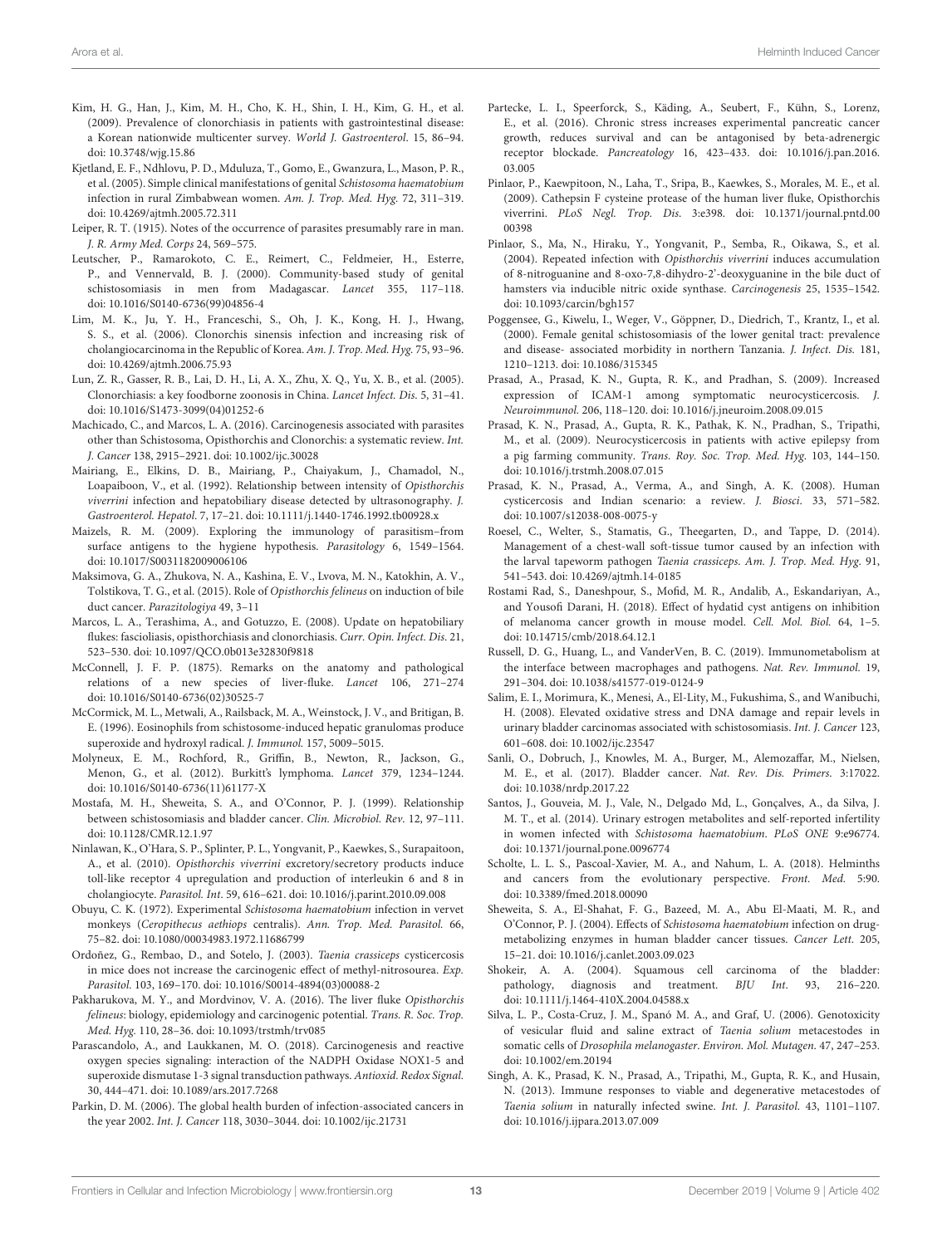- Kim, H. G., Han, J., Kim, M. H., Cho, K. H., Shin, I. H., Kim, G. H., et al. (2009). Prevalence of clonorchiasis in patients with gastrointestinal disease: a Korean nationwide multicenter survey. World J. Gastroenterol. 15, 86–94. doi: 10.3748/wjg.15.86
- Kjetland, E. F., Ndhlovu, P. D., Mduluza, T., Gomo, E., Gwanzura, L., Mason, P. R., et al. (2005). Simple clinical manifestations of genital Schistosoma haematobium infection in rural Zimbabwean women. Am. J. Trop. Med. Hyg. 72, 311–319. doi: 10.4269/ajtmh.2005.72.311
- Leiper, R. T. (1915). Notes of the occurrence of parasites presumably rare in man. J. R. Army Med. Corps 24, 569–575.
- Leutscher, P., Ramarokoto, C. E., Reimert, C., Feldmeier, H., Esterre, P., and Vennervald, B. J. (2000). Community-based study of genital schistosomiasis in men from Madagascar. Lancet 355, 117–118. doi: 10.1016/S0140-6736(99)04856-4
- Lim, M. K., Ju, Y. H., Franceschi, S., Oh, J. K., Kong, H. J., Hwang, S. S., et al. (2006). Clonorchis sinensis infection and increasing risk of cholangiocarcinoma in the Republic of Korea. Am. J. Trop. Med. Hyg. 75, 93–96. doi: 10.4269/ajtmh.2006.75.93
- Lun, Z. R., Gasser, R. B., Lai, D. H., Li, A. X., Zhu, X. Q., Yu, X. B., et al. (2005). Clonorchiasis: a key foodborne zoonosis in China. Lancet Infect. Dis. 5, 31–41. doi: 10.1016/S1473-3099(04)01252-6
- Machicado, C., and Marcos, L. A. (2016). Carcinogenesis associated with parasites other than Schistosoma, Opisthorchis and Clonorchis: a systematic review. Int. J. Cancer 138, 2915–2921. doi: 10.1002/ijc.30028
- Mairiang, E., Elkins, D. B., Mairiang, P., Chaiyakum, J., Chamadol, N., Loapaiboon, V., et al. (1992). Relationship between intensity of Opisthorchis viverrini infection and hepatobiliary disease detected by ultrasonography. J. Gastroenterol. Hepatol. 7, 17–21. doi: 10.1111/j.1440-1746.1992.tb00928.x
- Maizels, R. M. (2009). Exploring the immunology of parasitism–from surface antigens to the hygiene hypothesis. Parasitology 6, 1549–1564. doi: 10.1017/S0031182009006106
- Maksimova, G. A., Zhukova, N. A., Kashina, E. V., Lvova, M. N., Katokhin, A. V., Tolstikova, T. G., et al. (2015). Role of Opisthorchis felineus on induction of bile duct cancer. Parazitologiya 49, 3–11
- Marcos, L. A., Terashima, A., and Gotuzzo, E. (2008). Update on hepatobiliary flukes: fascioliasis, opisthorchiasis and clonorchiasis. Curr. Opin. Infect. Dis. 21, 523–530. doi: 10.1097/QCO.0b013e32830f9818
- McConnell, J. F. P. (1875). Remarks on the anatomy and pathological relations of a new species of liver-fluke. Lancet 106, 271–274 doi: 10.1016/S0140-6736(02)30525-7
- McCormick, M. L., Metwali, A., Railsback, M. A., Weinstock, J. V., and Britigan, B. E. (1996). Eosinophils from schistosome-induced hepatic granulomas produce superoxide and hydroxyl radical. J. Immunol. 157, 5009–5015.
- Molyneux, E. M., Rochford, R., Griffin, B., Newton, R., Jackson, G., Menon, G., et al. (2012). Burkitt's lymphoma. Lancet 379, 1234–1244. doi: 10.1016/S0140-6736(11)61177-X
- Mostafa, M. H., Sheweita, S. A., and O'Connor, P. J. (1999). Relationship between schistosomiasis and bladder cancer. Clin. Microbiol. Rev. 12, 97–111. doi: 10.1128/CMR.12.1.97
- Ninlawan, K., O'Hara, S. P., Splinter, P. L., Yongvanit, P., Kaewkes, S., Surapaitoon, A., et al. (2010). Opisthorchis viverrini excretory/secretory products induce toll-like receptor 4 upregulation and production of interleukin 6 and 8 in cholangiocyte. Parasitol. Int. 59, 616–621. doi: 10.1016/j.parint.2010.09.008
- Obuyu, C. K. (1972). Experimental Schistosoma haematobium infection in vervet monkeys (Ceropithecus aethiops centralis). Ann. Trop. Med. Parasitol. 66, 75–82. doi: 10.1080/00034983.1972.11686799
- Ordoñez, G., Rembao, D., and Sotelo, J. (2003). Taenia crassiceps cysticercosis in mice does not increase the carcinogenic effect of methyl-nitrosourea. Exp. Parasitol. 103, 169–170. doi: 10.1016/S0014-4894(03)00088-2
- Pakharukova, M. Y., and Mordvinov, V. A. (2016). The liver fluke Opisthorchis felineus: biology, epidemiology and carcinogenic potential. Trans. R. Soc. Trop. Med. Hyg. 110, 28–36. doi: 10.1093/trstmh/trv085
- Parascandolo, A., and Laukkanen, M. O. (2018). Carcinogenesis and reactive oxygen species signaling: interaction of the NADPH Oxidase NOX1-5 and superoxide dismutase 1-3 signal transduction pathways. Antioxid. Redox Signal. 30, 444–471. doi: 10.1089/ars.2017.7268
- Parkin, D. M. (2006). The global health burden of infection-associated cancers in the year 2002. Int. J. Cancer 118, 3030–3044. doi: 10.1002/ijc.21731
- Partecke, L. I., Speerforck, S., Käding, A., Seubert, F., Kühn, S., Lorenz, E., et al. (2016). Chronic stress increases experimental pancreatic cancer growth, reduces survival and can be antagonised by beta-adrenergic receptor blockade. Pancreatology 16, 423–433. doi: 10.1016/j.pan.2016. 03.005
- Pinlaor, P., Kaewpitoon, N., Laha, T., Sripa, B., Kaewkes, S., Morales, M. E., et al. (2009). Cathepsin F cysteine protease of the human liver fluke, Opisthorchis viverrini. PLoS Negl. Trop. Dis. 3:e398. doi: 10.1371/journal.pntd.00 00398
- Pinlaor, S., Ma, N., Hiraku, Y., Yongvanit, P., Semba, R., Oikawa, S., et al. (2004). Repeated infection with Opisthorchis viverrini induces accumulation of 8-nitroguanine and 8-oxo-7,8-dihydro-2'-deoxyguanine in the bile duct of hamsters via inducible nitric oxide synthase. Carcinogenesis 25, 1535–1542. doi: 10.1093/carcin/bgh157
- Poggensee, G., Kiwelu, I., Weger, V., Göppner, D., Diedrich, T., Krantz, I., et al. (2000). Female genital schistosomiasis of the lower genital tract: prevalence and disease- associated morbidity in northern Tanzania. J. Infect. Dis. 181, 1210–1213. doi: 10.1086/315345
- Prasad, A., Prasad, K. N., Gupta, R. K., and Pradhan, S. (2009). Increased expression of ICAM-1 among symptomatic neurocysticercosis. J. Neuroimmunol. 206, 118–120. doi: 10.1016/j.jneuroim.2008.09.015
- Prasad, K. N., Prasad, A., Gupta, R. K., Pathak, K. N., Pradhan, S., Tripathi, M., et al. (2009). Neurocysticercosis in patients with active epilepsy from a pig farming community. Trans. Roy. Soc. Trop. Med. Hyg. 103, 144–150. doi: 10.1016/j.trstmh.2008.07.015
- Prasad, K. N., Prasad, A., Verma, A., and Singh, A. K. (2008). Human cysticercosis and Indian scenario: a review. J. Biosci. 33, 571–582. doi: 10.1007/s12038-008-0075-y
- Roesel, C., Welter, S., Stamatis, G., Theegarten, D., and Tappe, D. (2014). Management of a chest-wall soft-tissue tumor caused by an infection with the larval tapeworm pathogen Taenia crassiceps. Am. J. Trop. Med. Hyg. 91, 541–543. doi: 10.4269/ajtmh.14-0185
- Rostami Rad, S., Daneshpour, S., Mofid, M. R., Andalib, A., Eskandariyan, A., and Yousofi Darani, H. (2018). Effect of hydatid cyst antigens on inhibition of melanoma cancer growth in mouse model. Cell. Mol. Biol. 64, 1–5. doi: 10.14715/cmb/2018.64.12.1
- Russell, D. G., Huang, L., and VanderVen, B. C. (2019). Immunometabolism at the interface between macrophages and pathogens. Nat. Rev. Immunol. 19, 291–304. doi: 10.1038/s41577-019-0124-9
- Salim, E. I., Morimura, K., Menesi, A., El-Lity, M., Fukushima, S., and Wanibuchi, H. (2008). Elevated oxidative stress and DNA damage and repair levels in urinary bladder carcinomas associated with schistosomiasis. Int. J. Cancer 123, 601–608. doi: 10.1002/ijc.23547
- Sanli, O., Dobruch, J., Knowles, M. A., Burger, M., Alemozaffar, M., Nielsen, M. E., et al. (2017). Bladder cancer. Nat. Rev. Dis. Primers. 3:17022. doi: 10.1038/nrdp.2017.22
- Santos, J., Gouveia, M. J., Vale, N., Delgado Md, L., Gonçalves, A., da Silva, J. M. T., et al. (2014). Urinary estrogen metabolites and self-reported infertility in women infected with Schistosoma haematobium. PLoS ONE 9:e96774. doi: 10.1371/journal.pone.0096774
- Scholte, L. L. S., Pascoal-Xavier, M. A., and Nahum, L. A. (2018). Helminths and cancers from the evolutionary perspective. Front. Med. 5:90. doi: 10.3389/fmed.2018.00090
- Sheweita, S. A., El-Shahat, F. G., Bazeed, M. A., Abu El-Maati, M. R., and O'Connor, P. J. (2004). Effects of Schistosoma haematobium infection on drugmetabolizing enzymes in human bladder cancer tissues. Cancer Lett. 205, 15–21. doi: 10.1016/j.canlet.2003.09.023
- Shokeir, A. A. (2004). Squamous cell carcinoma of the bladder: pathology, diagnosis and treatment. BJU Int. 93, 216–220. doi: 10.1111/j.1464-410X.2004.04588.x
- Silva, L. P., Costa-Cruz, J. M., Spanó M. A., and Graf, U. (2006). Genotoxicity of vesicular fluid and saline extract of Taenia solium metacestodes in somatic cells of Drosophila melanogaster. Environ. Mol. Mutagen. 47, 247–253. doi: 10.1002/em.20194
- Singh, A. K., Prasad, K. N., Prasad, A., Tripathi, M., Gupta, R. K., and Husain, N. (2013). Immune responses to viable and degenerative metacestodes of Taenia solium in naturally infected swine. Int. J. Parasitol. 43, 1101–1107. doi: 10.1016/j.ijpara.2013.07.009